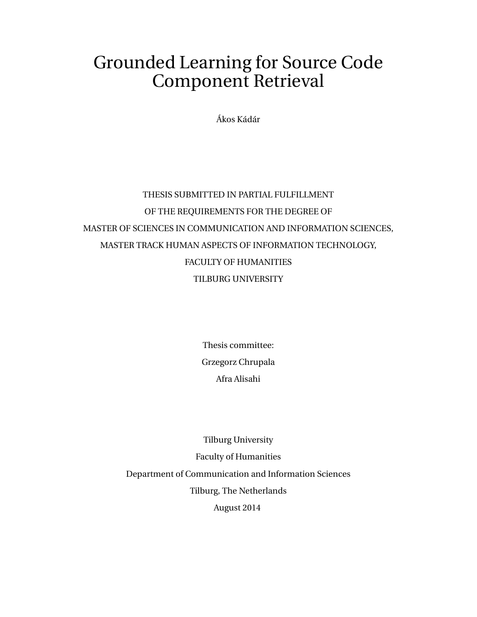## <span id="page-0-0"></span>Grounded Learning for Source Code Component Retrieval

Ákos Kádár

## THESIS SUBMITTED IN PARTIAL FULFILLMENT OF THE REQUIREMENTS FOR THE DEGREE OF MASTER OF SCIENCES IN COMMUNICATION AND INFORMATION SCIENCES, MASTER TRACK HUMAN ASPECTS OF INFORMATION TECHNOLOGY, FACULTY OF HUMANITIES TILBURG UNIVERSITY

Thesis committee: Grzegorz Chrupala Afra Alisahi

Tilburg University Faculty of Humanities Department of Communication and Information Sciences Tilburg, The Netherlands August 2014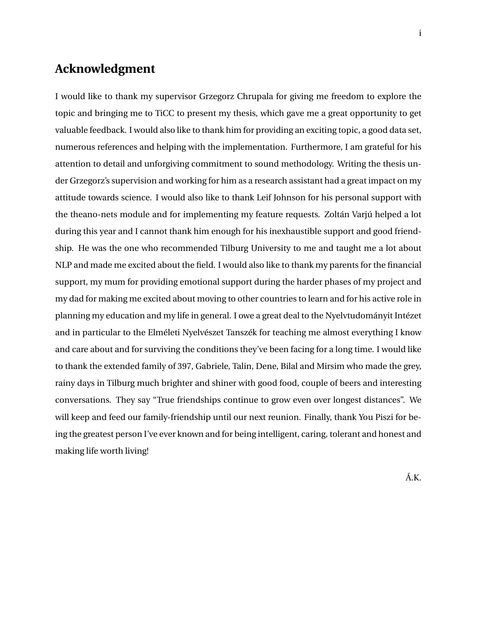## **Acknowledgment**

I would like to thank my supervisor Grzegorz Chrupala for giving me freedom to explore the topic and bringing me to TiCC to present my thesis, which gave me a great opportunity to get valuable feedback. I would also like to thank him for providing an exciting topic, a good data set, numerous references and helping with the implementation. Furthermore, I am grateful for his attention to detail and unforgiving commitment to sound methodology. Writing the thesis under Grzegorz's supervision and working for him as a research assistant had a great impact on my attitude towards science. I would also like to thank Leif Johnson for his personal support with the theano-nets module and for implementing my feature requests. Zoltán Varjú helped a lot during this year and I cannot thank him enough for his inexhaustible support and good friendship. He was the one who recommended Tilburg University to me and taught me a lot about NLP and made me excited about the field. I would also like to thank my parents for the financial support, my mum for providing emotional support during the harder phases of my project and my dad for making me excited about moving to other countries to learn and for his active role in planning my education and my life in general. I owe a great deal to the Nyelvtudományit Intézet and in particular to the Elméleti Nyelvészet Tanszék for teaching me almost everything I know and care about and for surviving the conditions they've been facing for a long time. I would like to thank the extended family of 397, Gabriele, Talin, Dene, Bilal and Mirsim who made the grey, rainy days in Tilburg much brighter and shiner with good food, couple of beers and interesting conversations. They say "True friendships continue to grow even over longest distances". We will keep and feed our family-friendship until our next reunion. Finally, thank You Piszi for being the greatest person I've ever known and for being intelligent, caring, tolerant and honest and making life worth living!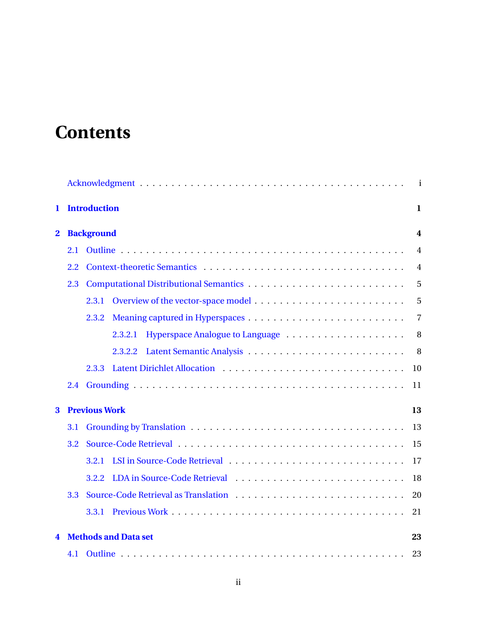# **Contents**

|              |     |                             | $\mathbf{i}$     |
|--------------|-----|-----------------------------|------------------|
| 1            |     | <b>Introduction</b>         | 1                |
| $\mathbf{2}$ |     | <b>Background</b>           | $\boldsymbol{4}$ |
|              | 2.1 |                             | $\overline{4}$   |
|              | 2.2 |                             | $\overline{4}$   |
|              | 2.3 |                             | 5                |
|              |     | 2.3.1                       | 5                |
|              |     | 2.3.2                       | $\overline{7}$   |
|              |     | 2.3.2.1                     | 8                |
|              |     | 2.3.2.2                     | 8                |
|              |     | 2.3.3                       | 10               |
|              | 2.4 |                             | 11               |
| 3            |     | <b>Previous Work</b>        | 13               |
|              | 3.1 |                             | 13               |
|              | 3.2 |                             | 15               |
|              |     | 3.2.1                       | 17               |
|              |     | 3.2.2                       | 18               |
|              | 3.3 |                             | 20               |
|              |     | 3.3.1                       | 21               |
| 4            |     | <b>Methods and Data set</b> | 23               |
|              | 4.1 |                             | 23               |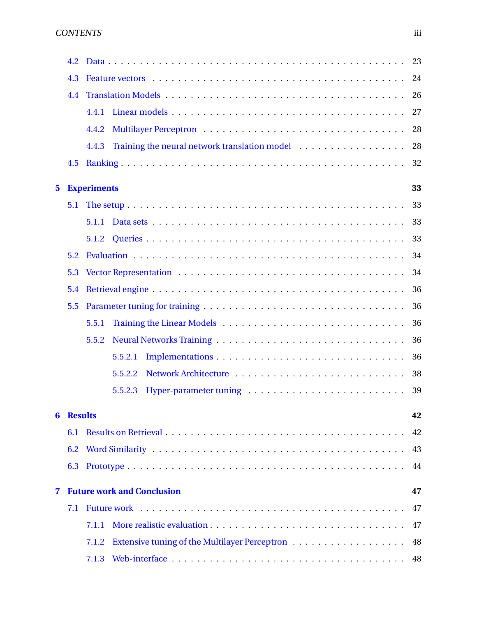|                         | 4.2            |                                   | 23 |
|-------------------------|----------------|-----------------------------------|----|
|                         | 4.3            |                                   | 24 |
|                         | 4.4            |                                   | 26 |
|                         |                | 4.4.1                             | 27 |
|                         |                | 4.4.2                             | 28 |
|                         |                | 4.4.3                             | 28 |
|                         | 4.5            |                                   | 32 |
| $\overline{\mathbf{5}}$ |                | <b>Experiments</b>                | 33 |
|                         | 5.1            |                                   | 33 |
|                         |                | 5.1.1                             | 33 |
|                         |                |                                   | 33 |
|                         | 5.2            |                                   | 34 |
|                         | 5.3            |                                   | 34 |
|                         | 5.4            |                                   | 36 |
|                         | 5.5            |                                   | 36 |
|                         |                | 5.5.1                             | 36 |
|                         |                | 5.5.2                             | 36 |
|                         |                | 5.5.2.1                           | 36 |
|                         |                | 5.5.2.2                           | 38 |
|                         |                | 5.5.2.3                           | 39 |
| 6                       | <b>Results</b> |                                   | 42 |
|                         | 6.1            |                                   | 42 |
|                         | 6.2            |                                   | 43 |
|                         | 6.3            |                                   | 44 |
| 7                       |                | <b>Future work and Conclusion</b> | 47 |
|                         | 7.1            |                                   | 47 |
|                         |                | 7.1.1                             | 47 |
|                         |                | 7.1.2                             | 48 |
|                         |                | 7.1.3                             | 48 |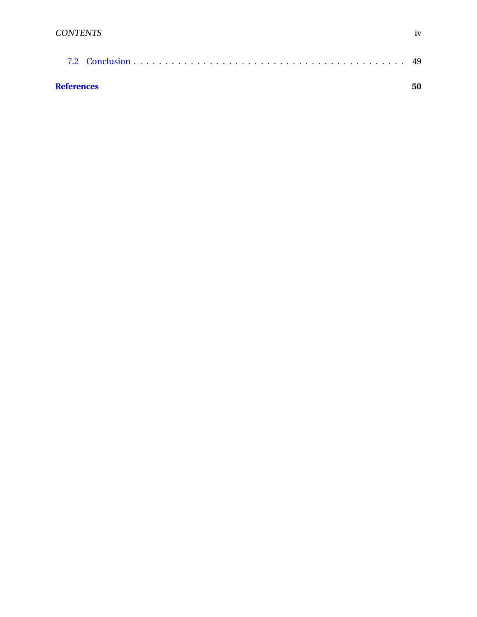| <b>References</b> | 50 |
|-------------------|----|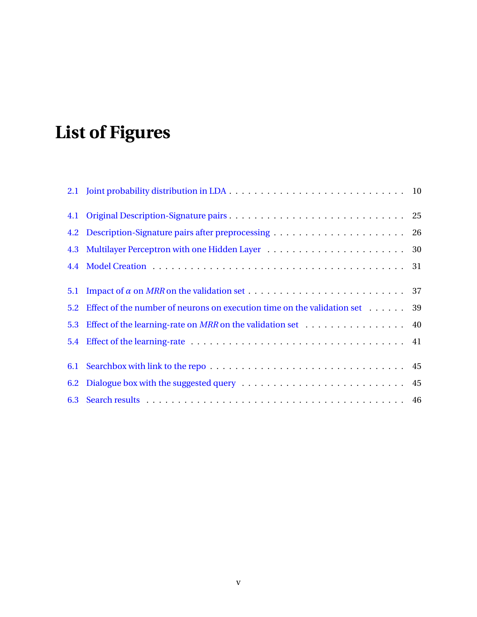# **List of Figures**

| 5.1 |                                                                                    |  |
|-----|------------------------------------------------------------------------------------|--|
| 5.2 | Effect of the number of neurons on execution time on the validation set $\dots$ 39 |  |
| 5.3 | Effect of the learning-rate on MRR on the validation set 40                        |  |
|     |                                                                                    |  |
|     |                                                                                    |  |
|     |                                                                                    |  |
|     |                                                                                    |  |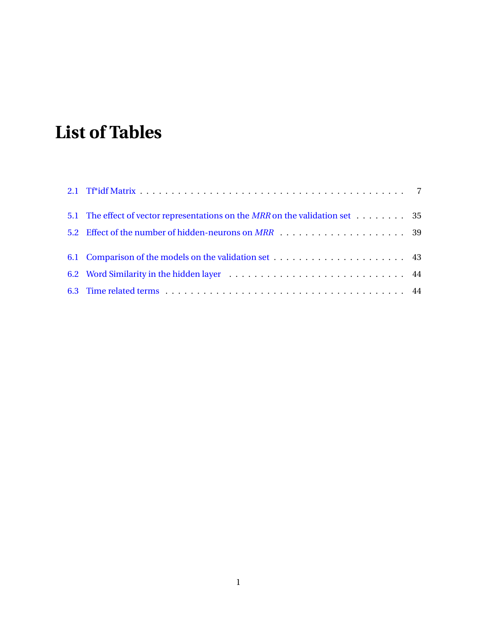# **List of Tables**

| 5.1 The effect of vector representations on the MRR on the validation set 35 |  |
|------------------------------------------------------------------------------|--|
|                                                                              |  |
|                                                                              |  |
|                                                                              |  |
|                                                                              |  |
|                                                                              |  |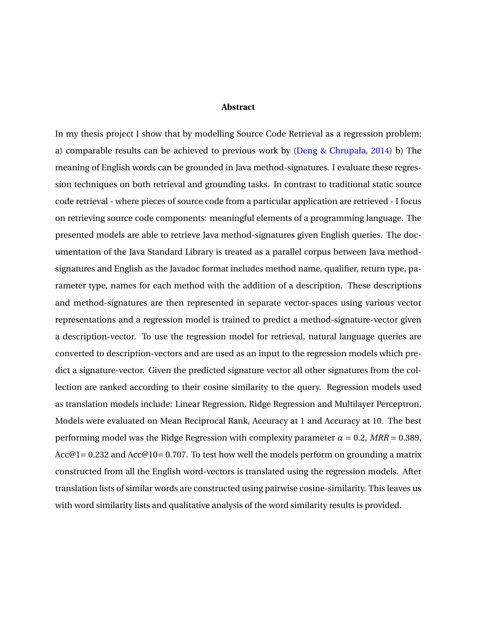#### **Abstract**

In my thesis project I show that by modelling Source Code Retrieval as a regression problem: a) comparable results can be achieved to previous work by [\(Deng & Chrupała,](#page-57-0) [2014\)](#page-57-0) b) The meaning of English words can be grounded in Java method-signatures. I evaluate these regression techniques on both retrieval and grounding tasks. In contrast to traditional static source code retrieval - where pieces of source code from a particular application are retrieved - I focus on retrieving source code components: meaningful elements of a programming language. The presented models are able to retrieve Java method-signatures given English queries. The documentation of the Java Standard Library is treated as a parallel corpus between Java methodsignatures and English as the Javadoc format includes method name, qualifier, return type, parameter type, names for each method with the addition of a description. These descriptions and method-signatures are then represented in separate vector-spaces using various vector representations and a regression model is trained to predict a method-signature-vector given a description-vector. To use the regression model for retrieval, natural language queries are converted to description-vectors and are used as an input to the regression models which predict a signature-vector. Given the predicted signature vector all other signatures from the collection are ranked according to their cosine similarity to the query. Regression models used as translation models include: Linear Regression, Ridge Regression and Multilayer Perceptron. Models were evaluated on Mean Reciprocal Rank, Accuracy at 1 and Accuracy at 10. The best performing model was the Ridge Regression with complexity parameter  $\alpha = 0.2$ ,  $MRR = 0.389$ , Acc@1 = 0.232 and Acc@10 = 0.707. To test how well the models perform on grounding a matrix constructed from all the English word-vectors is translated using the regression models. After translation lists of similar words are constructed using pairwise cosine-similarity. This leaves us with word similarity lists and qualitative analysis of the word similarity results is provided.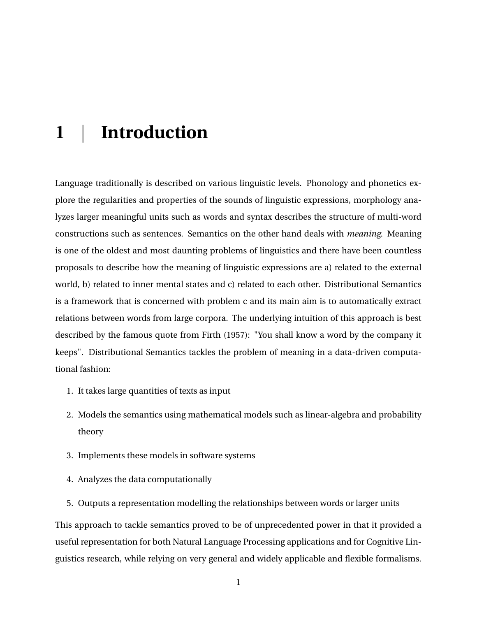## <span id="page-8-0"></span>**1 | Introduction**

Language traditionally is described on various linguistic levels. Phonology and phonetics explore the regularities and properties of the sounds of linguistic expressions, morphology analyzes larger meaningful units such as words and syntax describes the structure of multi-word constructions such as sentences. Semantics on the other hand deals with *meaning*. Meaning is one of the oldest and most daunting problems of linguistics and there have been countless proposals to describe how the meaning of linguistic expressions are a) related to the external world, b) related to inner mental states and c) related to each other. Distributional Semantics is a framework that is concerned with problem c and its main aim is to automatically extract relations between words from large corpora. The underlying intuition of this approach is best described by the famous quote from Firth (1957): "You shall know a word by the company it keeps". Distributional Semantics tackles the problem of meaning in a data-driven computational fashion:

- 1. It takes large quantities of texts as input
- 2. Models the semantics using mathematical models such as linear-algebra and probability theory
- 3. Implements these models in software systems
- 4. Analyzes the data computationally
- 5. Outputs a representation modelling the relationships between words or larger units

This approach to tackle semantics proved to be of unprecedented power in that it provided a useful representation for both Natural Language Processing applications and for Cognitive Linguistics research, while relying on very general and widely applicable and flexible formalisms.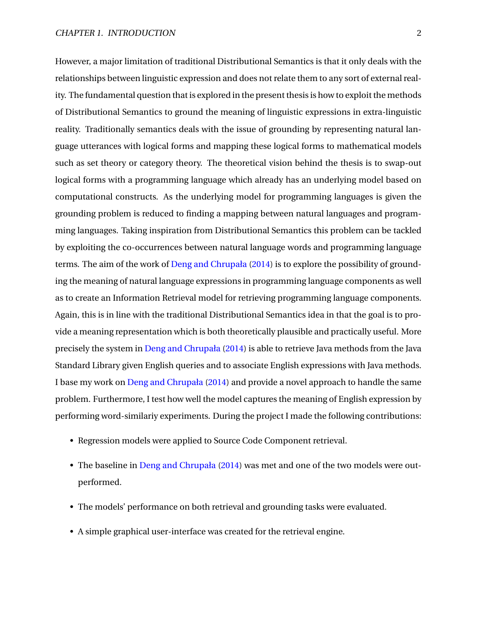However, a major limitation of traditional Distributional Semantics is that it only deals with the relationships between linguistic expression and does not relate them to any sort of external reality. The fundamental question that is explored in the present thesis is how to exploit the methods of Distributional Semantics to ground the meaning of linguistic expressions in extra-linguistic reality. Traditionally semantics deals with the issue of grounding by representing natural language utterances with logical forms and mapping these logical forms to mathematical models such as set theory or category theory. The theoretical vision behind the thesis is to swap-out logical forms with a programming language which already has an underlying model based on computational constructs. As the underlying model for programming languages is given the grounding problem is reduced to finding a mapping between natural languages and programming languages. Taking inspiration from Distributional Semantics this problem can be tackled by exploiting the co-occurrences between natural language words and programming language terms. The aim of the work of [Deng and Chrupała](#page-57-0) [\(2014\)](#page-57-0) is to explore the possibility of grounding the meaning of natural language expressions in programming language components as well as to create an Information Retrieval model for retrieving programming language components. Again, this is in line with the traditional Distributional Semantics idea in that the goal is to provide a meaning representation which is both theoretically plausible and practically useful. More precisely the system in [Deng and Chrupała](#page-57-0) [\(2014\)](#page-57-0) is able to retrieve Java methods from the Java Standard Library given English queries and to associate English expressions with Java methods. I base my work on [Deng and Chrupała](#page-57-0) [\(2014\)](#page-57-0) and provide a novel approach to handle the same problem. Furthermore, I test how well the model captures the meaning of English expression by performing word-similariy experiments. During the project I made the following contributions:

- Regression models were applied to Source Code Component retrieval.
- The baseline in [Deng and Chrupała](#page-57-0) [\(2014\)](#page-57-0) was met and one of the two models were outperformed.
- The models' performance on both retrieval and grounding tasks were evaluated.
- A simple graphical user-interface was created for the retrieval engine.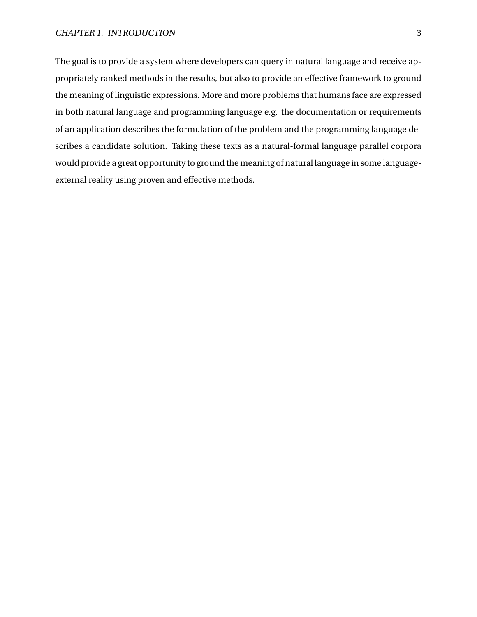The goal is to provide a system where developers can query in natural language and receive appropriately ranked methods in the results, but also to provide an effective framework to ground the meaning of linguistic expressions. More and more problems that humans face are expressed in both natural language and programming language e.g. the documentation or requirements of an application describes the formulation of the problem and the programming language describes a candidate solution. Taking these texts as a natural-formal language parallel corpora would provide a great opportunity to ground the meaning of natural language in some languageexternal reality using proven and effective methods.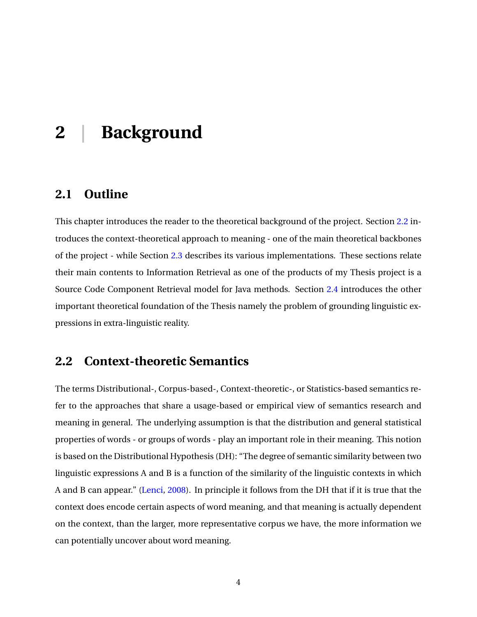## <span id="page-11-0"></span>**2 | Background**

## <span id="page-11-1"></span>**2.1 Outline**

This chapter introduces the reader to the theoretical background of the project. Section [2.2](#page-11-2) introduces the context-theoretical approach to meaning - one of the main theoretical backbones of the project - while Section [2.3](#page-12-0) describes its various implementations. These sections relate their main contents to Information Retrieval as one of the products of my Thesis project is a Source Code Component Retrieval model for Java methods. Section [2.4](#page-18-0) introduces the other important theoretical foundation of the Thesis namely the problem of grounding linguistic expressions in extra-linguistic reality.

### <span id="page-11-2"></span>**2.2 Context-theoretic Semantics**

The terms Distributional-, Corpus-based-, Context-theoretic-, or Statistics-based semantics refer to the approaches that share a usage-based or empirical view of semantics research and meaning in general. The underlying assumption is that the distribution and general statistical properties of words - or groups of words - play an important role in their meaning. This notion is based on the Distributional Hypothesis (DH): "The degree of semantic similarity between two linguistic expressions A and B is a function of the similarity of the linguistic contexts in which A and B can appear." [\(Lenci,](#page-58-0) [2008\)](#page-58-0). In principle it follows from the DH that if it is true that the context does encode certain aspects of word meaning, and that meaning is actually dependent on the context, than the larger, more representative corpus we have, the more information we can potentially uncover about word meaning.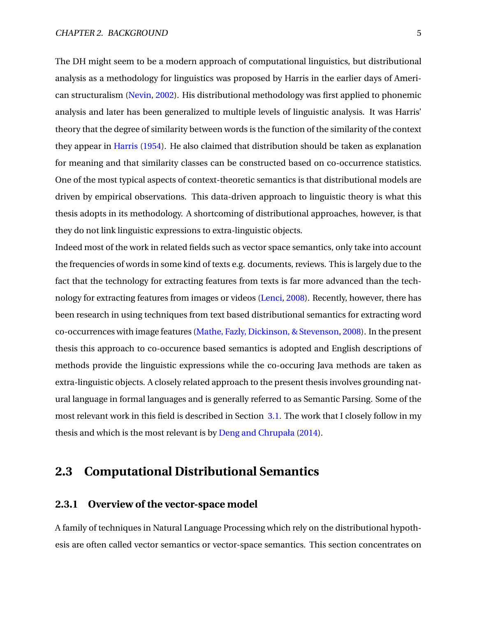The DH might seem to be a modern approach of computational linguistics, but distributional analysis as a methodology for linguistics was proposed by Harris in the earlier days of American structuralism [\(Nevin,](#page-59-0) [2002\)](#page-59-0). His distributional methodology was first applied to phonemic analysis and later has been generalized to multiple levels of linguistic analysis. It was Harris' theory that the degree of similarity between words is the function of the similarity of the context they appear in [Harris](#page-58-1) [\(1954\)](#page-58-1). He also claimed that distribution should be taken as explanation for meaning and that similarity classes can be constructed based on co-occurrence statistics. One of the most typical aspects of context-theoretic semantics is that distributional models are driven by empirical observations. This data-driven approach to linguistic theory is what this thesis adopts in its methodology. A shortcoming of distributional approaches, however, is that they do not link linguistic expressions to extra-linguistic objects.

Indeed most of the work in related fields such as vector space semantics, only take into account the frequencies of words in some kind of texts e.g. documents, reviews. This is largely due to the fact that the technology for extracting features from texts is far more advanced than the technology for extracting features from images or videos [\(Lenci,](#page-58-0) [2008\)](#page-58-0). Recently, however, there has been research in using techniques from text based distributional semantics for extracting word co-occurrences with image features [\(Mathe, Fazly, Dickinson, & Stevenson,](#page-59-1) [2008\)](#page-59-1). In the present thesis this approach to co-occurence based semantics is adopted and English descriptions of methods provide the linguistic expressions while the co-occuring Java methods are taken as extra-linguistic objects. A closely related approach to the present thesis involves grounding natural language in formal languages and is generally referred to as Semantic Parsing. Some of the most relevant work in this field is described in Section [3.1.](#page-20-1) The work that I closely follow in my thesis and which is the most relevant is by [Deng and Chrupała](#page-57-0) [\(2014\)](#page-57-0).

## <span id="page-12-0"></span>**2.3 Computational Distributional Semantics**

#### <span id="page-12-1"></span>**2.3.1 Overview of the vector-space model**

A family of techniques in Natural Language Processing which rely on the distributional hypothesis are often called vector semantics or vector-space semantics. This section concentrates on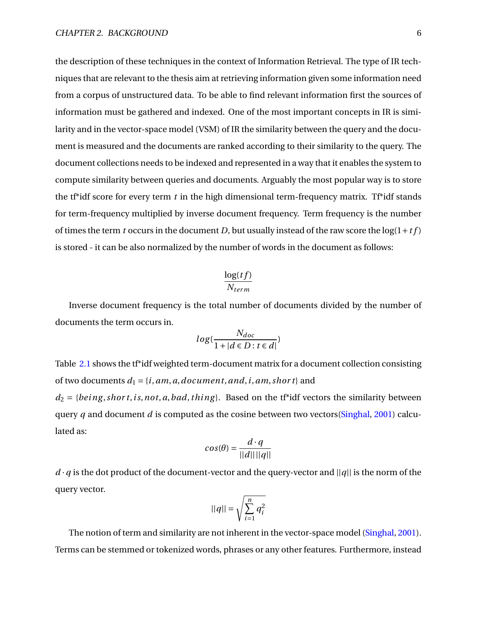the description of these techniques in the context of Information Retrieval. The type of IR techniques that are relevant to the thesis aim at retrieving information given some information need from a corpus of unstructured data. To be able to find relevant information first the sources of information must be gathered and indexed. One of the most important concepts in IR is similarity and in the vector-space model (VSM) of IR the similarity between the query and the document is measured and the documents are ranked according to their similarity to the query. The document collections needs to be indexed and represented in a way that it enables the system to compute similarity between queries and documents. Arguably the most popular way is to store the t<sup>\*</sup>idf score for every term *t* in the high dimensional term-frequency matrix. T<sup>\*\*</sup>idf stands for term-frequency multiplied by inverse document frequency. Term frequency is the number of times the term *t* occurs in the document *D*, but usually instead of the raw score the  $log(1+t f)$ is stored - it can be also normalized by the number of words in the document as follows:

$$
\frac{\log(t f)}{N_{term}}
$$

Inverse document frequency is the total number of documents divided by the number of documents the term occurs in.

$$
log(\frac{N_{doc}}{1+|d \in D : t \in d|})
$$

Table [2.1](#page-14-1) shows the t<sup>\*</sup>idf weighted term-document matrix for a document collection consisting of two documents  $d_1 = \{i, am, a, document, and, i, am, short\}$  and  $d_2 = \{being, short, is, not, a, bad, thing\}$ . Based on the tf\*idf vectors the similarity between query *q* and document *d* is computed as the cosine between two vectors[\(Singhal,](#page-60-0) [2001\)](#page-60-0) calculated as:

$$
cos(\theta) = \frac{d \cdot q}{||d|| ||q||}
$$

 $d \cdot q$  is the dot product of the document-vector and the query-vector and  $||q||$  is the norm of the query vector.

$$
||q|| = \sqrt{\sum_{i=1}^{n} q_i^2}
$$

The notion of term and similarity are not inherent in the vector-space model [\(Singhal,](#page-60-0) [2001\)](#page-60-0). Terms can be stemmed or tokenized words, phrases or any other features. Furthermore, instead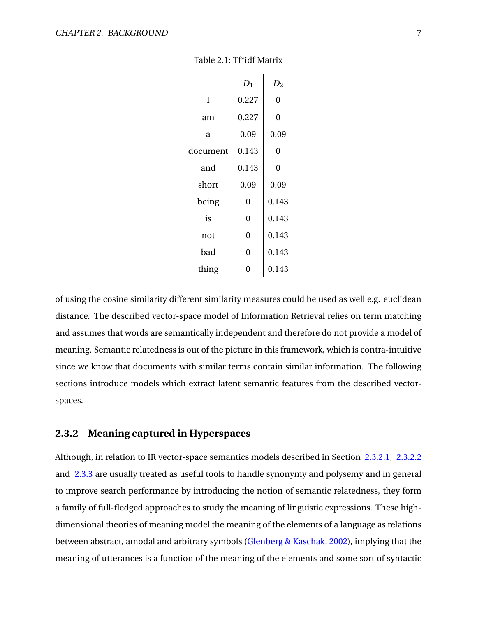<span id="page-14-1"></span>

|          | $D_1$ | $D_2$ |
|----------|-------|-------|
| Ī        | 0.227 | 0     |
| am       | 0.227 | 0     |
| a        | 0.09  | 0.09  |
| document | 0.143 | 0     |
| and      | 0.143 | 0     |
| short    | 0.09  | 0.09  |
| being    | 0     | 0.143 |
| is       | 0     | 0.143 |
| not      | 0     | 0.143 |
| bad      | 0     | 0.143 |
| thing    | 0     | 0.143 |

#### Table 2.1: Tf\*idf Matrix

of using the cosine similarity different similarity measures could be used as well e.g. euclidean distance. The described vector-space model of Information Retrieval relies on term matching and assumes that words are semantically independent and therefore do not provide a model of meaning. Semantic relatedness is out of the picture in this framework, which is contra-intuitive since we know that documents with similar terms contain similar information. The following sections introduce models which extract latent semantic features from the described vectorspaces.

#### <span id="page-14-0"></span>**2.3.2 Meaning captured in Hyperspaces**

Although, in relation to IR vector-space semantics models described in Section [2.3.2.1,](#page-15-0) [2.3.2.2](#page-15-1) and [2.3.3](#page-16-0) are usually treated as useful tools to handle synonymy and polysemy and in general to improve search performance by introducing the notion of semantic relatedness, they form a family of full-fledged approaches to study the meaning of linguistic expressions. These highdimensional theories of meaning model the meaning of the elements of a language as relations between abstract, amodal and arbitrary symbols [\(Glenberg & Kaschak,](#page-58-2) [2002\)](#page-58-2), implying that the meaning of utterances is a function of the meaning of the elements and some sort of syntactic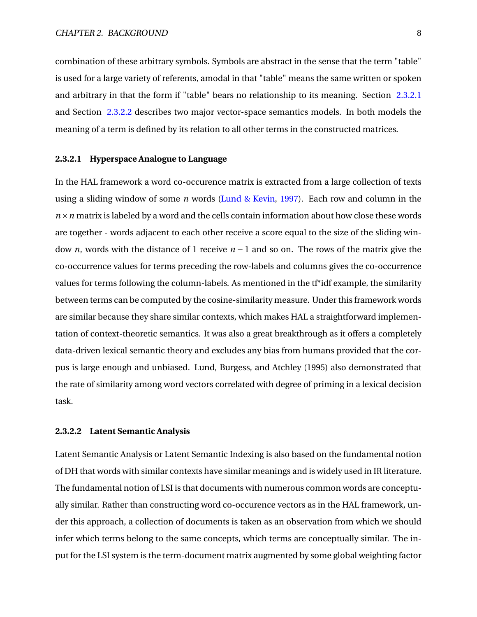combination of these arbitrary symbols. Symbols are abstract in the sense that the term "table" is used for a large variety of referents, amodal in that "table" means the same written or spoken and arbitrary in that the form if "table" bears no relationship to its meaning. Section [2.3.2.1](#page-15-0) and Section [2.3.2.2](#page-15-1) describes two major vector-space semantics models. In both models the meaning of a term is defined by its relation to all other terms in the constructed matrices.

#### <span id="page-15-0"></span>**2.3.2.1 Hyperspace Analogue to Language**

In the HAL framework a word co-occurence matrix is extracted from a large collection of texts using a sliding window of some *n* words [\(Lund & Kevin,](#page-58-3) [1997\)](#page-58-3). Each row and column in the  $n \times n$  matrix is labeled by a word and the cells contain information about how close these words are together - words adjacent to each other receive a score equal to the size of the sliding window *n*, words with the distance of 1 receive *n* − 1 and so on. The rows of the matrix give the co-occurrence values for terms preceding the row-labels and columns gives the co-occurrence values for terms following the column-labels. As mentioned in the tf\*idf example, the similarity between terms can be computed by the cosine-similarity measure. Under this framework words are similar because they share similar contexts, which makes HAL a straightforward implementation of context-theoretic semantics. It was also a great breakthrough as it offers a completely data-driven lexical semantic theory and excludes any bias from humans provided that the corpus is large enough and unbiased. Lund, Burgess, and Atchley (1995) also demonstrated that the rate of similarity among word vectors correlated with degree of priming in a lexical decision task.

#### <span id="page-15-1"></span>**2.3.2.2 Latent Semantic Analysis**

Latent Semantic Analysis or Latent Semantic Indexing is also based on the fundamental notion of DH that words with similar contexts have similar meanings and is widely used in IR literature. The fundamental notion of LSI is that documents with numerous common words are conceptually similar. Rather than constructing word co-occurence vectors as in the HAL framework, under this approach, a collection of documents is taken as an observation from which we should infer which terms belong to the same concepts, which terms are conceptually similar. The input for the LSI system is the term-document matrix augmented by some global weighting factor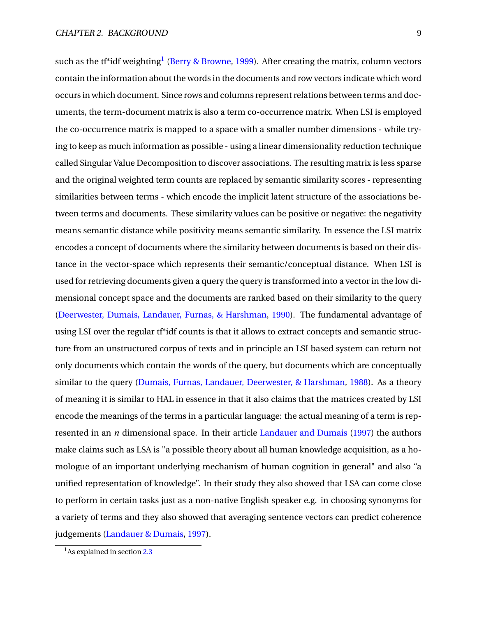such as the tf\*idf weighting<sup>[1](#page-16-1)</sup> [\(Berry & Browne,](#page-57-1) [1999\)](#page-57-1). After creating the matrix, column vectors contain the information about the words in the documents and row vectors indicate which word occurs in which document. Since rows and columns represent relations between terms and documents, the term-document matrix is also a term co-occurrence matrix. When LSI is employed the co-occurrence matrix is mapped to a space with a smaller number dimensions - while trying to keep as much information as possible - using a linear dimensionality reduction technique called Singular Value Decomposition to discover associations. The resulting matrix is less sparse and the original weighted term counts are replaced by semantic similarity scores - representing similarities between terms - which encode the implicit latent structure of the associations between terms and documents. These similarity values can be positive or negative: the negativity means semantic distance while positivity means semantic similarity. In essence the LSI matrix encodes a concept of documents where the similarity between documents is based on their distance in the vector-space which represents their semantic/conceptual distance. When LSI is used for retrieving documents given a query the query is transformed into a vector in the low dimensional concept space and the documents are ranked based on their similarity to the query [\(Deerwester, Dumais, Landauer, Furnas, & Harshman,](#page-57-2) [1990\)](#page-57-2). The fundamental advantage of using LSI over the regular tf\*idf counts is that it allows to extract concepts and semantic structure from an unstructured corpus of texts and in principle an LSI based system can return not only documents which contain the words of the query, but documents which are conceptually similar to the query [\(Dumais, Furnas, Landauer, Deerwester, & Harshman,](#page-58-4) [1988\)](#page-58-4). As a theory of meaning it is similar to HAL in essence in that it also claims that the matrices created by LSI encode the meanings of the terms in a particular language: the actual meaning of a term is represented in an *n* dimensional space. In their article [Landauer and Dumais](#page-58-5) [\(1997\)](#page-58-5) the authors make claims such as LSA is "a possible theory about all human knowledge acquisition, as a homologue of an important underlying mechanism of human cognition in general" and also "a unified representation of knowledge". In their study they also showed that LSA can come close to perform in certain tasks just as a non-native English speaker e.g. in choosing synonyms for a variety of terms and they also showed that averaging sentence vectors can predict coherence judgements [\(Landauer & Dumais,](#page-58-5) [1997\)](#page-58-5).

<span id="page-16-1"></span><span id="page-16-0"></span><sup>&</sup>lt;sup>1</sup>As explained in section [2.3](#page-12-0)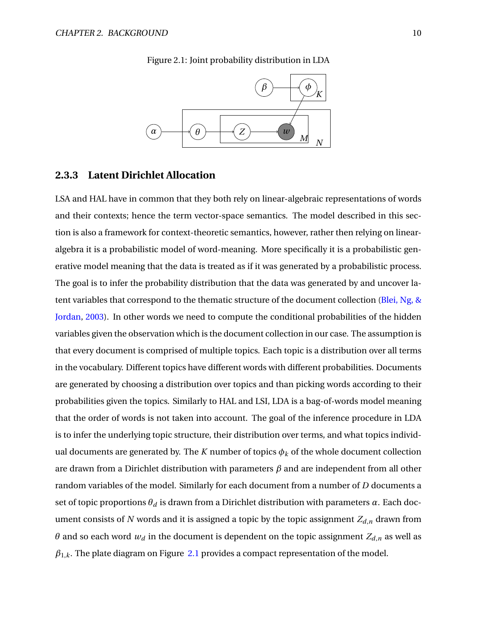<span id="page-17-0"></span>

Figure 2.1: Joint probability distribution in LDA

#### **2.3.3 Latent Dirichlet Allocation**

LSA and HAL have in common that they both rely on linear-algebraic representations of words and their contexts; hence the term vector-space semantics. The model described in this section is also a framework for context-theoretic semantics, however, rather then relying on linearalgebra it is a probabilistic model of word-meaning. More specifically it is a probabilistic generative model meaning that the data is treated as if it was generated by a probabilistic process. The goal is to infer the probability distribution that the data was generated by and uncover latent variables that correspond to the thematic structure of the document collection [\(Blei, Ng, &](#page-57-3) [Jordan,](#page-57-3) [2003\)](#page-57-3). In other words we need to compute the conditional probabilities of the hidden variables given the observation which is the document collection in our case. The assumption is that every document is comprised of multiple topics. Each topic is a distribution over all terms in the vocabulary. Different topics have different words with different probabilities. Documents are generated by choosing a distribution over topics and than picking words according to their probabilities given the topics. Similarly to HAL and LSI, LDA is a bag-of-words model meaning that the order of words is not taken into account. The goal of the inference procedure in LDA is to infer the underlying topic structure, their distribution over terms, and what topics individual documents are generated by. The *K* number of topics  $\phi_k$  of the whole document collection are drawn from a Dirichlet distribution with parameters *β* and are independent from all other random variables of the model. Similarly for each document from a number of *D* documents a set of topic proportions  $\theta_d$  is drawn from a Dirichlet distribution with parameters  $\alpha$ . Each document consists of N words and it is assigned a topic by the topic assignment  $Z_{d,n}$  drawn from *θ* and so each word  $w_d$  in the document is dependent on the topic assignment  $Z_{d,n}$  as well as  $\beta_{1,k}$ . The plate diagram on Figure [2.1](#page-17-0) provides a compact representation of the model.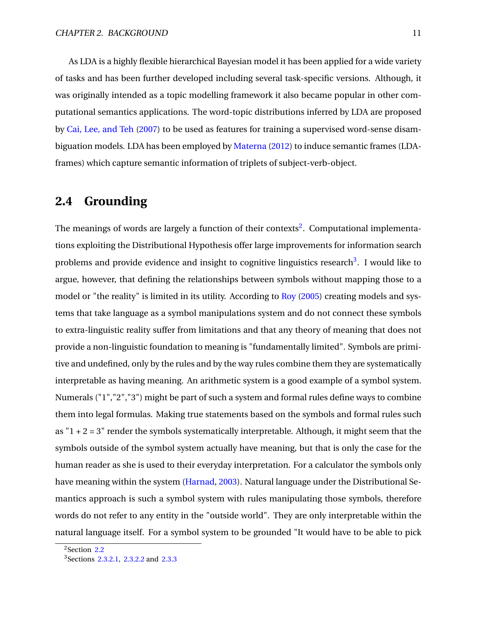As LDA is a highly flexible hierarchical Bayesian model it has been applied for a wide variety of tasks and has been further developed including several task-specific versions. Although, it was originally intended as a topic modelling framework it also became popular in other computational semantics applications. The word-topic distributions inferred by LDA are proposed by [Cai, Lee, and Teh](#page-57-4) [\(2007\)](#page-57-4) to be used as features for training a supervised word-sense disambiguation models. LDA has been employed by [Materna](#page-59-2) [\(2012\)](#page-59-2) to induce semantic frames (LDAframes) which capture semantic information of triplets of subject-verb-object.

### <span id="page-18-0"></span>**2.4 Grounding**

The meanings of words are largely a function of their contexts<sup>[2](#page-18-1)</sup>. Computational implementations exploiting the Distributional Hypothesis offer large improvements for information search problems and provide evidence and insight to cognitive linguistics research<sup>[3](#page-18-2)</sup>. I would like to argue, however, that defining the relationships between symbols without mapping those to a model or "the reality" is limited in its utility. According to [Roy](#page-60-1) [\(2005\)](#page-60-1) creating models and systems that take language as a symbol manipulations system and do not connect these symbols to extra-linguistic reality suffer from limitations and that any theory of meaning that does not provide a non-linguistic foundation to meaning is "fundamentally limited". Symbols are primitive and undefined, only by the rules and by the way rules combine them they are systematically interpretable as having meaning. An arithmetic system is a good example of a symbol system. Numerals ("1","2","3") might be part of such a system and formal rules define ways to combine them into legal formulas. Making true statements based on the symbols and formal rules such as " $1 + 2 = 3$ " render the symbols systematically interpretable. Although, it might seem that the symbols outside of the symbol system actually have meaning, but that is only the case for the human reader as she is used to their everyday interpretation. For a calculator the symbols only have meaning within the system [\(Harnad,](#page-58-6) [2003\)](#page-58-6). Natural language under the Distributional Semantics approach is such a symbol system with rules manipulating those symbols, therefore words do not refer to any entity in the "outside world". They are only interpretable within the natural language itself. For a symbol system to be grounded "It would have to be able to pick

<span id="page-18-1"></span><sup>2</sup>Section [2.2](#page-11-2)

<span id="page-18-2"></span><sup>&</sup>lt;sup>3</sup>Sections [2.3.2.1,](#page-15-0) [2.3.2.2](#page-15-1) and [2.3.3](#page-16-0)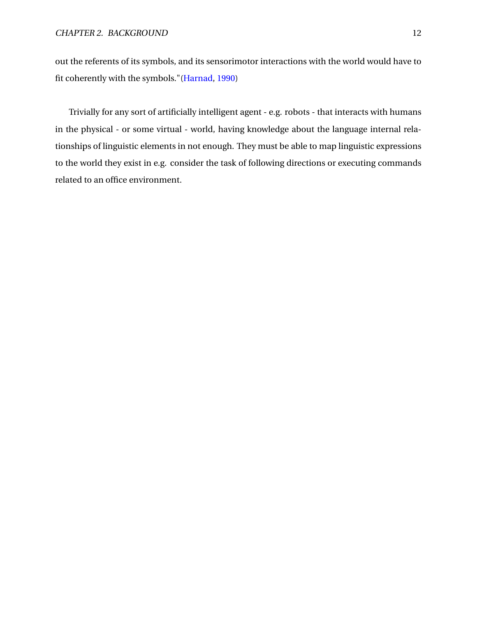out the referents of its symbols, and its sensorimotor interactions with the world would have to fit coherently with the symbols."[\(Harnad,](#page-58-7) [1990\)](#page-58-7)

Trivially for any sort of artificially intelligent agent - e.g. robots - that interacts with humans in the physical - or some virtual - world, having knowledge about the language internal relationships of linguistic elements in not enough. They must be able to map linguistic expressions to the world they exist in e.g. consider the task of following directions or executing commands related to an office environment.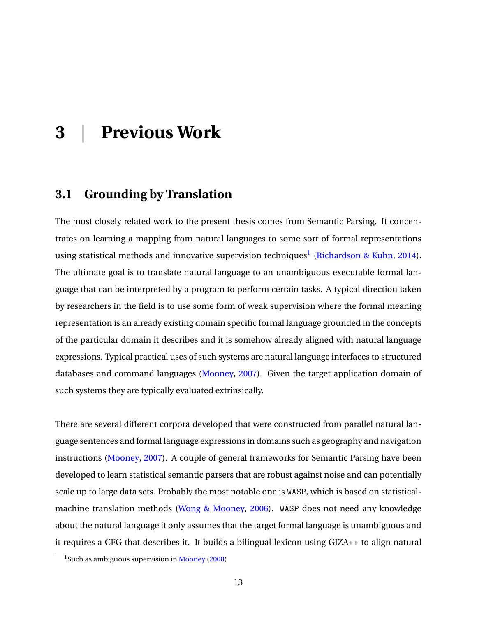## <span id="page-20-0"></span>**3 | Previous Work**

## <span id="page-20-1"></span>**3.1 Grounding by Translation**

The most closely related work to the present thesis comes from Semantic Parsing. It concentrates on learning a mapping from natural languages to some sort of formal representations using statistical methods and innovative supervision techniques<sup>[1](#page-20-2)</sup> [\(Richardson & Kuhn,](#page-60-2) [2014\)](#page-60-2). The ultimate goal is to translate natural language to an unambiguous executable formal language that can be interpreted by a program to perform certain tasks. A typical direction taken by researchers in the field is to use some form of weak supervision where the formal meaning representation is an already existing domain specific formal language grounded in the concepts of the particular domain it describes and it is somehow already aligned with natural language expressions. Typical practical uses of such systems are natural language interfaces to structured databases and command languages [\(Mooney,](#page-59-3) [2007\)](#page-59-3). Given the target application domain of such systems they are typically evaluated extrinsically.

There are several different corpora developed that were constructed from parallel natural language sentences and formal language expressions in domains such as geography and navigation instructions [\(Mooney,](#page-59-3) [2007\)](#page-59-3). A couple of general frameworks for Semantic Parsing have been developed to learn statistical semantic parsers that are robust against noise and can potentially scale up to large data sets. Probably the most notable one is WASP, which is based on statisticalmachine translation methods [\(Wong & Mooney,](#page-60-3) [2006\)](#page-60-3). WASP does not need any knowledge about the natural language it only assumes that the target formal language is unambiguous and it requires a CFG that describes it. It builds a bilingual lexicon using GIZA++ to align natural

<span id="page-20-2"></span><sup>&</sup>lt;sup>1</sup>Such as ambiguous supervision in [Mooney](#page-59-4) [\(2008\)](#page-59-4)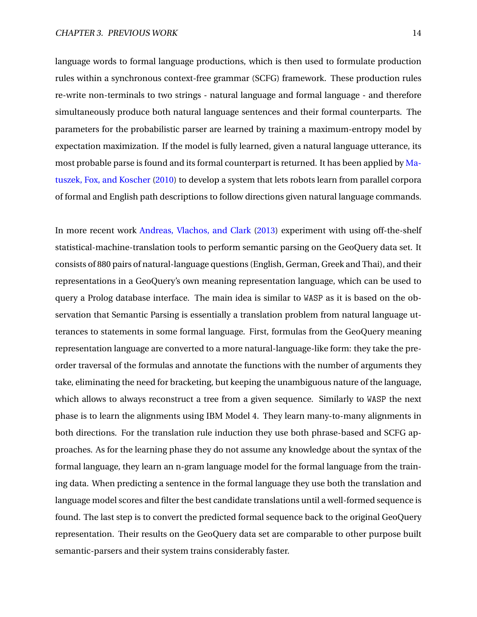language words to formal language productions, which is then used to formulate production rules within a synchronous context-free grammar (SCFG) framework. These production rules re-write non-terminals to two strings - natural language and formal language - and therefore simultaneously produce both natural language sentences and their formal counterparts. The parameters for the probabilistic parser are learned by training a maximum-entropy model by expectation maximization. If the model is fully learned, given a natural language utterance, its most probable parse is found and its formal counterpart is returned. It has been applied by [Ma](#page-59-5)[tuszek, Fox, and Koscher](#page-59-5) [\(2010\)](#page-59-5) to develop a system that lets robots learn from parallel corpora of formal and English path descriptions to follow directions given natural language commands.

In more recent work [Andreas, Vlachos, and Clark](#page-57-5) [\(2013\)](#page-57-5) experiment with using off-the-shelf statistical-machine-translation tools to perform semantic parsing on the GeoQuery data set. It consists of 880 pairs of natural-language questions (English, German, Greek and Thai), and their representations in a GeoQuery's own meaning representation language, which can be used to query a Prolog database interface. The main idea is similar to WASP as it is based on the observation that Semantic Parsing is essentially a translation problem from natural language utterances to statements in some formal language. First, formulas from the GeoQuery meaning representation language are converted to a more natural-language-like form: they take the preorder traversal of the formulas and annotate the functions with the number of arguments they take, eliminating the need for bracketing, but keeping the unambiguous nature of the language, which allows to always reconstruct a tree from a given sequence. Similarly to WASP the next phase is to learn the alignments using IBM Model 4. They learn many-to-many alignments in both directions. For the translation rule induction they use both phrase-based and SCFG approaches. As for the learning phase they do not assume any knowledge about the syntax of the formal language, they learn an n-gram language model for the formal language from the training data. When predicting a sentence in the formal language they use both the translation and language model scores and filter the best candidate translations until a well-formed sequence is found. The last step is to convert the predicted formal sequence back to the original GeoQuery representation. Their results on the GeoQuery data set are comparable to other purpose built semantic-parsers and their system trains considerably faster.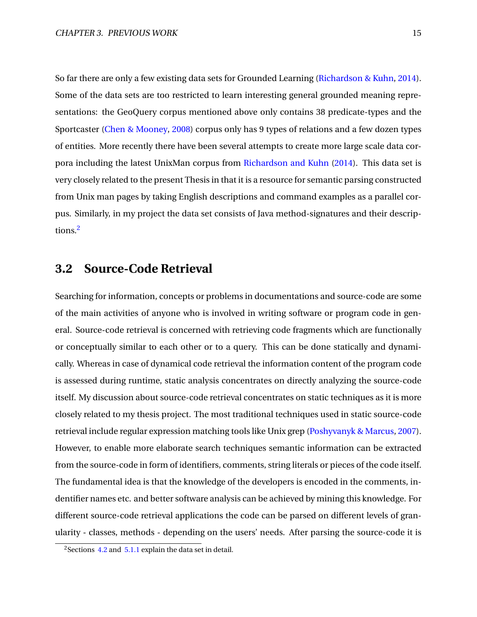So far there are only a few existing data sets for Grounded Learning [\(Richardson & Kuhn,](#page-60-2) [2014\)](#page-60-2). Some of the data sets are too restricted to learn interesting general grounded meaning representations: the GeoQuery corpus mentioned above only contains 38 predicate-types and the Sportcaster [\(Chen & Mooney,](#page-57-6) [2008\)](#page-57-6) corpus only has 9 types of relations and a few dozen types of entities. More recently there have been several attempts to create more large scale data corpora including the latest UnixMan corpus from [Richardson and Kuhn](#page-60-2) [\(2014\)](#page-60-2). This data set is very closely related to the present Thesis in that it is a resource for semantic parsing constructed from Unix man pages by taking English descriptions and command examples as a parallel corpus. Similarly, in my project the data set consists of Java method-signatures and their descriptions.[2](#page-22-1)

## <span id="page-22-0"></span>**3.2 Source-Code Retrieval**

Searching for information, concepts or problems in documentations and source-code are some of the main activities of anyone who is involved in writing software or program code in general. Source-code retrieval is concerned with retrieving code fragments which are functionally or conceptually similar to each other or to a query. This can be done statically and dynamically. Whereas in case of dynamical code retrieval the information content of the program code is assessed during runtime, static analysis concentrates on directly analyzing the source-code itself. My discussion about source-code retrieval concentrates on static techniques as it is more closely related to my thesis project. The most traditional techniques used in static source-code retrieval include regular expression matching tools like Unix grep [\(Poshyvanyk & Marcus,](#page-60-4) [2007\)](#page-60-4). However, to enable more elaborate search techniques semantic information can be extracted from the source-code in form of identifiers, comments, string literals or pieces of the code itself. The fundamental idea is that the knowledge of the developers is encoded in the comments, indentifier names etc. and better software analysis can be achieved by mining this knowledge. For different source-code retrieval applications the code can be parsed on different levels of granularity - classes, methods - depending on the users' needs. After parsing the source-code it is

<span id="page-22-1"></span><sup>&</sup>lt;sup>2</sup> Sections [4.2](#page-30-2) and [5.1.1](#page-40-2) explain the data set in detail.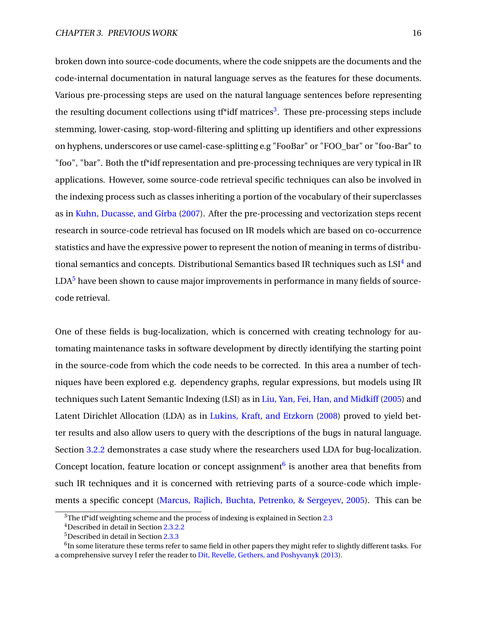broken down into source-code documents, where the code snippets are the documents and the code-internal documentation in natural language serves as the features for these documents. Various pre-processing steps are used on the natural language sentences before representing the resulting document collections using t<sup>\*\*</sup>idf matrices<sup>[3](#page-23-0)</sup>. These pre-processing steps include stemming, lower-casing, stop-word-filtering and splitting up identifiers and other expressions on hyphens, underscores or use camel-case-splitting e.g "FooBar" or "FOO\_bar" or "foo-Bar" to "foo", "bar". Both the tf\*idf representation and pre-processing techniques are very typical in IR applications. However, some source-code retrieval specific techniques can also be involved in the indexing process such as classes inheriting a portion of the vocabulary of their superclasses as in [Kuhn, Ducasse, and Gírba](#page-58-8) [\(2007\)](#page-58-8). After the pre-processing and vectorization steps recent research in source-code retrieval has focused on IR models which are based on co-occurrence statistics and have the expressive power to represent the notion of meaning in terms of distribu-tional semantics and concepts. Distributional Semantics based IR techniques such as LSI<sup>[4](#page-23-1)</sup> and  $LDA<sup>5</sup>$  $LDA<sup>5</sup>$  $LDA<sup>5</sup>$  have been shown to cause major improvements in performance in many fields of sourcecode retrieval.

One of these fields is bug-localization, which is concerned with creating technology for automating maintenance tasks in software development by directly identifying the starting point in the source-code from which the code needs to be corrected. In this area a number of techniques have been explored e.g. dependency graphs, regular expressions, but models using IR techniques such Latent Semantic Indexing (LSI) as in [Liu, Yan, Fei, Han, and Midkiff](#page-58-9) [\(2005\)](#page-58-9) and Latent Dirichlet Allocation (LDA) as in [Lukins, Kraft, and Etzkorn](#page-58-10) [\(2008\)](#page-58-10) proved to yield better results and also allow users to query with the descriptions of the bugs in natural language. Section [3.2.2](#page-25-0) demonstrates a case study where the researchers used LDA for bug-localization. Concept location, feature location or concept assignment $6$  is another area that benefits from such IR techniques and it is concerned with retrieving parts of a source-code which implements a specific concept [\(Marcus, Rajlich, Buchta, Petrenko, & Sergeyev,](#page-59-6) [2005\)](#page-59-6). This can be

<span id="page-23-0"></span> $3$ The t<sup>\*</sup>idf weighting scheme and the process of indexing is explained in Section [2.3](#page-12-0)

<span id="page-23-1"></span><sup>4</sup>Described in detail in Section [2.3.2.2](#page-15-1)

<span id="page-23-3"></span><span id="page-23-2"></span><sup>5</sup>Described in detail in Section [2.3.3](#page-16-0)

 $^6$ In some literature these terms refer to same field in other papers they might refer to slightly different tasks. For a comprehensive survey I refer the reader to [Dit, Revelle, Gethers, and Poshyvanyk](#page-57-7) [\(2013\)](#page-57-7).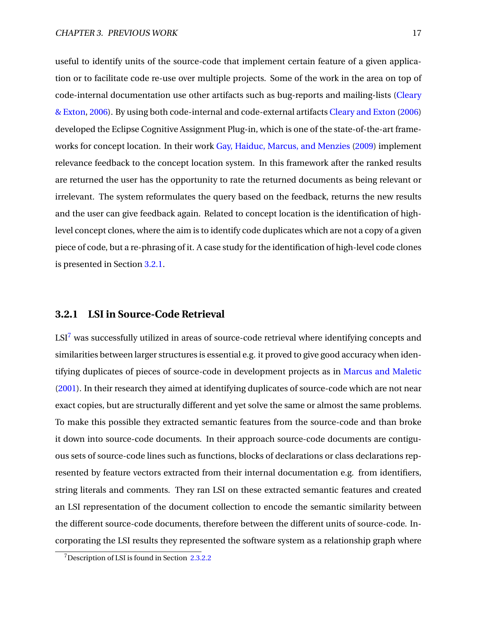useful to identify units of the source-code that implement certain feature of a given application or to facilitate code re-use over multiple projects. Some of the work in the area on top of code-internal documentation use other artifacts such as bug-reports and mailing-lists [\(Cleary](#page-57-8) [& Exton,](#page-57-8) [2006\)](#page-57-8). By using both code-internal and code-external artifacts [Cleary and Exton](#page-57-8) [\(2006\)](#page-57-8) developed the Eclipse Cognitive Assignment Plug-in, which is one of the state-of-the-art frameworks for concept location. In their work [Gay, Haiduc, Marcus, and Menzies](#page-58-11) [\(2009\)](#page-58-11) implement relevance feedback to the concept location system. In this framework after the ranked results are returned the user has the opportunity to rate the returned documents as being relevant or irrelevant. The system reformulates the query based on the feedback, returns the new results and the user can give feedback again. Related to concept location is the identification of highlevel concept clones, where the aim is to identify code duplicates which are not a copy of a given piece of code, but a re-phrasing of it. A case study for the identification of high-level code clones is presented in Section [3.2.1.](#page-24-0)

#### <span id="page-24-0"></span>**3.2.1 LSI in Source-Code Retrieval**

 $LSI<sup>7</sup>$  $LSI<sup>7</sup>$  $LSI<sup>7</sup>$  was successfully utilized in areas of source-code retrieval where identifying concepts and similarities between larger structures is essential e.g. it proved to give good accuracy when identifying duplicates of pieces of source-code in development projects as in [Marcus and Maletic](#page-58-12) [\(2001\)](#page-58-12). In their research they aimed at identifying duplicates of source-code which are not near exact copies, but are structurally different and yet solve the same or almost the same problems. To make this possible they extracted semantic features from the source-code and than broke it down into source-code documents. In their approach source-code documents are contiguous sets of source-code lines such as functions, blocks of declarations or class declarations represented by feature vectors extracted from their internal documentation e.g. from identifiers, string literals and comments. They ran LSI on these extracted semantic features and created an LSI representation of the document collection to encode the semantic similarity between the different source-code documents, therefore between the different units of source-code. Incorporating the LSI results they represented the software system as a relationship graph where

<span id="page-24-1"></span><sup>7</sup>Description of LSI is found in Section [2.3.2.2](#page-15-1)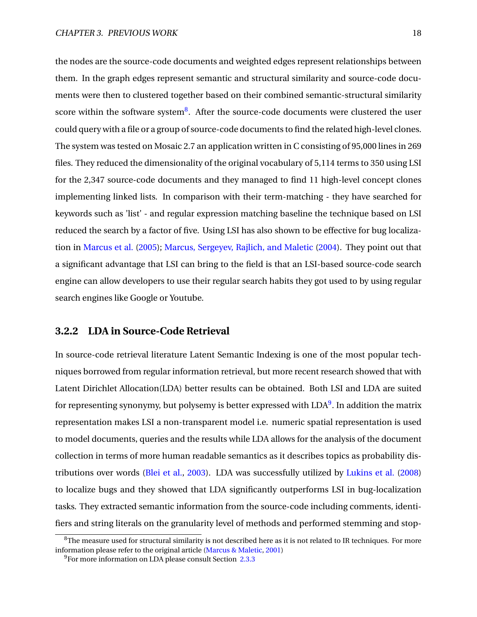the nodes are the source-code documents and weighted edges represent relationships between them. In the graph edges represent semantic and structural similarity and source-code documents were then to clustered together based on their combined semantic-structural similarity score within the software system ${}^{8}$  ${}^{8}$  ${}^{8}$ . After the source-code documents were clustered the user could query with a file or a group of source-code documents to find the related high-level clones. The system was tested on Mosaic 2.7 an application written in C consisting of 95,000 lines in 269 files. They reduced the dimensionality of the original vocabulary of 5,114 terms to 350 using LSI for the 2,347 source-code documents and they managed to find 11 high-level concept clones implementing linked lists. In comparison with their term-matching - they have searched for keywords such as 'list' - and regular expression matching baseline the technique based on LSI reduced the search by a factor of five. Using LSI has also shown to be effective for bug localization in [Marcus et al.](#page-59-6) [\(2005\)](#page-59-6); [Marcus, Sergeyev, Rajlich, and Maletic](#page-59-7) [\(2004\)](#page-59-7). They point out that a significant advantage that LSI can bring to the field is that an LSI-based source-code search engine can allow developers to use their regular search habits they got used to by using regular search engines like Google or Youtube.

#### <span id="page-25-0"></span>**3.2.2 LDA in Source-Code Retrieval**

In source-code retrieval literature Latent Semantic Indexing is one of the most popular techniques borrowed from regular information retrieval, but more recent research showed that with Latent Dirichlet Allocation(LDA) better results can be obtained. Both LSI and LDA are suited for representing synonymy, but polysemy is better expressed with LDA<sup>[9](#page-25-2)</sup>. In addition the matrix representation makes LSI a non-transparent model i.e. numeric spatial representation is used to model documents, queries and the results while LDA allows for the analysis of the document collection in terms of more human readable semantics as it describes topics as probability distributions over words [\(Blei et al.,](#page-57-3) [2003\)](#page-57-3). LDA was successfully utilized by [Lukins et al.](#page-58-10) [\(2008\)](#page-58-10) to localize bugs and they showed that LDA significantly outperforms LSI in bug-localization tasks. They extracted semantic information from the source-code including comments, identifiers and string literals on the granularity level of methods and performed stemming and stop-

<span id="page-25-1"></span> $8$ The measure used for structural similarity is not described here as it is not related to IR techniques. For more information please refer to the original article [\(Marcus & Maletic,](#page-58-12) [2001\)](#page-58-12)

<span id="page-25-2"></span><sup>&</sup>lt;sup>9</sup>For more information on LDA please consult Section [2.3.3](#page-16-0)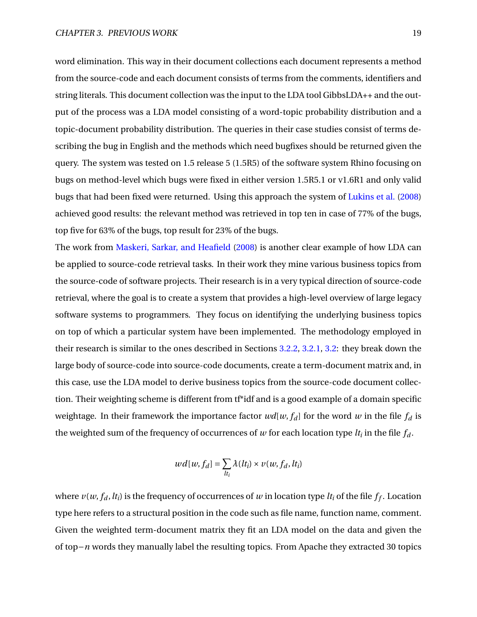word elimination. This way in their document collections each document represents a method from the source-code and each document consists of terms from the comments, identifiers and string literals. This document collection was the input to the LDA tool GibbsLDA++ and the output of the process was a LDA model consisting of a word-topic probability distribution and a topic-document probability distribution. The queries in their case studies consist of terms describing the bug in English and the methods which need bugfixes should be returned given the query. The system was tested on 1.5 release 5 (1.5R5) of the software system Rhino focusing on bugs on method-level which bugs were fixed in either version 1.5R5.1 or v1.6R1 and only valid bugs that had been fixed were returned. Using this approach the system of [Lukins et al.](#page-58-10) [\(2008\)](#page-58-10) achieved good results: the relevant method was retrieved in top ten in case of 77% of the bugs, top five for 63% of the bugs, top result for 23% of the bugs.

The work from [Maskeri, Sarkar, and Heafield](#page-59-8) [\(2008\)](#page-59-8) is another clear example of how LDA can be applied to source-code retrieval tasks. In their work they mine various business topics from the source-code of software projects. Their research is in a very typical direction of source-code retrieval, where the goal is to create a system that provides a high-level overview of large legacy software systems to programmers. They focus on identifying the underlying business topics on top of which a particular system have been implemented. The methodology employed in their research is similar to the ones described in Sections [3.2.2,](#page-25-0) [3.2.1,](#page-24-0) [3.2:](#page-22-0) they break down the large body of source-code into source-code documents, create a term-document matrix and, in this case, use the LDA model to derive business topics from the source-code document collection. Their weighting scheme is different from tf\*idf and is a good example of a domain specific weightage. In their framework the importance factor  $wd[w, f_d]$  for the word w in the file  $f_d$  is the weighted sum of the frequency of occurrences of  $w$  for each location type  $lt_i$  in the file  $f_d$ .

$$
wd[w, f_d] = \sum_{lt_i} \lambda(lt_i) \times v(w, f_d, lt_i)
$$

where  $v(w, f_d, lt_i)$  is the frequency of occurrences of  $w$  in location type  $lt_i$  of the file  $f_f.$  Location type here refers to a structural position in the code such as file name, function name, comment. Given the weighted term-document matrix they fit an LDA model on the data and given the of top−*n* words they manually label the resulting topics. From Apache they extracted 30 topics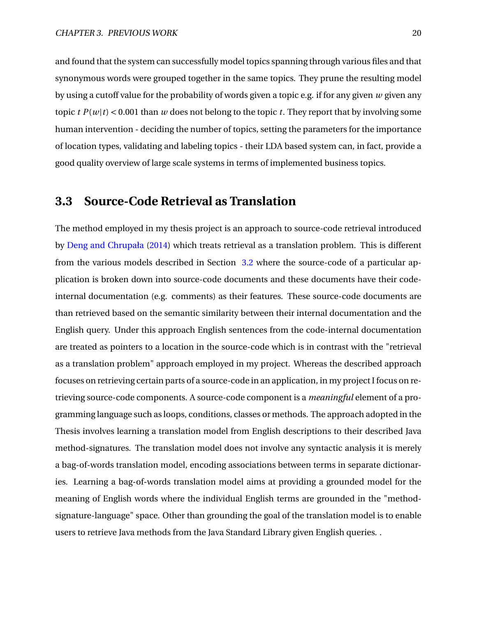and found that the system can successfully model topics spanning through various files and that synonymous words were grouped together in the same topics. They prune the resulting model by using a cutoff value for the probability of words given a topic e.g. if for any given *w* given any topic  $t P(w|t) < 0.001$  than *w* does not belong to the topic *t*. They report that by involving some human intervention - deciding the number of topics, setting the parameters for the importance of location types, validating and labeling topics - their LDA based system can, in fact, provide a good quality overview of large scale systems in terms of implemented business topics.

### <span id="page-27-0"></span>**3.3 Source-Code Retrieval as Translation**

<span id="page-27-1"></span>The method employed in my thesis project is an approach to source-code retrieval introduced by [Deng and Chrupała](#page-57-0) [\(2014\)](#page-57-0) which treats retrieval as a translation problem. This is different from the various models described in Section [3.2](#page-22-0) where the source-code of a particular application is broken down into source-code documents and these documents have their codeinternal documentation (e.g. comments) as their features. These source-code documents are than retrieved based on the semantic similarity between their internal documentation and the English query. Under this approach English sentences from the code-internal documentation are treated as pointers to a location in the source-code which is in contrast with the "retrieval as a translation problem" approach employed in my project. Whereas the described approach focuses on retrieving certain parts of a source-code in an application, in my project I focus on retrieving source-code components. A source-code component is a *meaningful* element of a programming language such as loops, conditions, classes or methods. The approach adopted in the Thesis involves learning a translation model from English descriptions to their described Java method-signatures. The translation model does not involve any syntactic analysis it is merely a bag-of-words translation model, encoding associations between terms in separate dictionaries. Learning a bag-of-words translation model aims at providing a grounded model for the meaning of English words where the individual English terms are grounded in the "methodsignature-language" space. Other than grounding the goal of the translation model is to enable users to retrieve Java methods from the Java Standard Library given English queries. .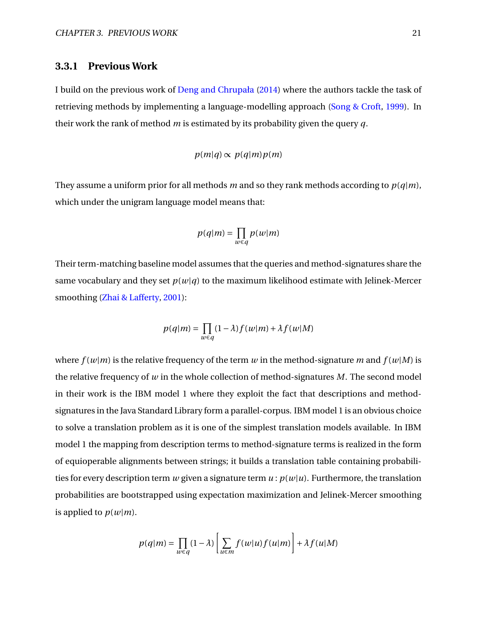#### **3.3.1 Previous Work**

I build on the previous work of [Deng and Chrupała](#page-57-0) [\(2014\)](#page-57-0) where the authors tackle the task of retrieving methods by implementing a language-modelling approach [\(Song & Croft,](#page-60-5) [1999\)](#page-60-5). In their work the rank of method *m* is estimated by its probability given the query *q*.

#### $p(m|q) \propto p(q|m)p(m)$

They assume a uniform prior for all methods *m* and so they rank methods according to *p*(*q*|*m*), which under the unigram language model means that:

$$
p(q|m) = \prod_{w \in q} p(w|m)
$$

Their term-matching baseline model assumes that the queries and method-signatures share the same vocabulary and they set  $p(w|q)$  to the maximum likelihood estimate with Jelinek-Mercer smoothing [\(Zhai & Lafferty,](#page-60-6) [2001\)](#page-60-6):

$$
p(q|m) = \prod_{w \in q} (1 - \lambda) f(w|m) + \lambda f(w|M)
$$

where  $f(w|m)$  is the relative frequency of the term *w* in the method-signature *m* and  $f(w|M)$  is the relative frequency of *w* in the whole collection of method-signatures *M*. The second model in their work is the IBM model 1 where they exploit the fact that descriptions and methodsignatures in the Java Standard Library form a parallel-corpus. IBM model 1 is an obvious choice to solve a translation problem as it is one of the simplest translation models available. In IBM model 1 the mapping from description terms to method-signature terms is realized in the form of equioperable alignments between strings; it builds a translation table containing probabilities for every description term *w* given a signature term  $u : p(w|u)$ . Furthermore, the translation probabilities are bootstrapped using expectation maximization and Jelinek-Mercer smoothing is applied to  $p(w|m)$ .

$$
p(q|m) = \prod_{w \in q} (1 - \lambda) \left[ \sum_{u \in m} f(w|u) f(u|m) \right] + \lambda f(u|M)
$$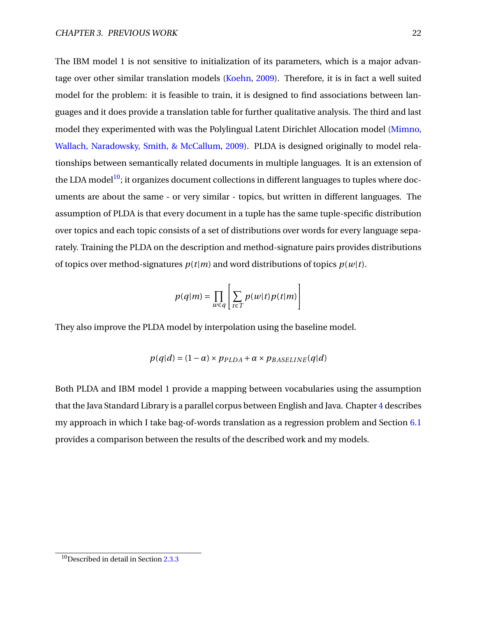The IBM model 1 is not sensitive to initialization of its parameters, which is a major advantage over other similar translation models [\(Koehn,](#page-58-13) [2009\)](#page-58-13). Therefore, it is in fact a well suited model for the problem: it is feasible to train, it is designed to find associations between languages and it does provide a translation table for further qualitative analysis. The third and last model they experimented with was the Polylingual Latent Dirichlet Allocation model [\(Mimno,](#page-59-9) [Wallach, Naradowsky, Smith, & McCallum,](#page-59-9) [2009\)](#page-59-9). PLDA is designed originally to model relationships between semantically related documents in multiple languages. It is an extension of the LDA model<sup>[10](#page-29-0)</sup>; it organizes document collections in different languages to tuples where documents are about the same - or very similar - topics, but written in different languages. The assumption of PLDA is that every document in a tuple has the same tuple-specific distribution over topics and each topic consists of a set of distributions over words for every language separately. Training the PLDA on the description and method-signature pairs provides distributions of topics over method-signatures  $p(t|m)$  and word distributions of topics  $p(w|t)$ .

$$
p(q|m) = \prod_{w \in q} \left[ \sum_{t \in T} p(w|t) p(t|m) \right]
$$

They also improve the PLDA model by interpolation using the baseline model.

$$
p(q|d) = (1 - \alpha) \times p_{PLDA} + \alpha \times p_{BASELINE}(q|d)
$$

Both PLDA and IBM model 1 provide a mapping between vocabularies using the assumption that the Java Standard Library is a parallel corpus between English and Java. Chapter [4](#page-30-0) describes my approach in which I take bag-of-words translation as a regression problem and Section  $6.1$ provides a comparison between the results of the described work and my models.

<span id="page-29-0"></span> $10$ Described in detail in Section [2.3.3](#page-16-0)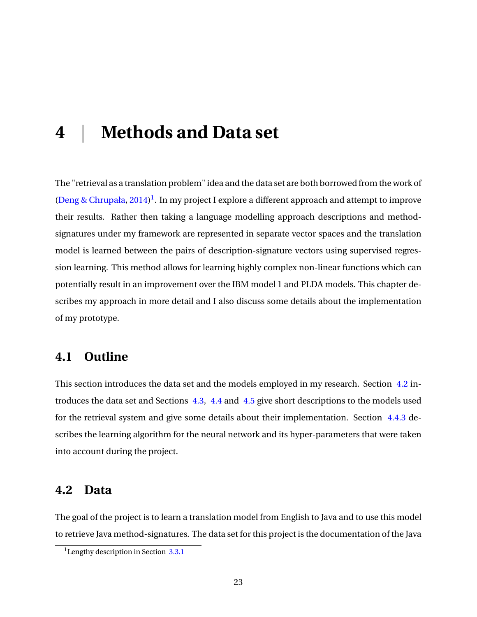## <span id="page-30-0"></span>**4 | Methods and Data set**

The "retrieval as a translation problem" idea and the data set are both borrowed from the work of [\(Deng & Chrupała,](#page-57-0) [2014\)](#page-57-0)<sup>[1](#page-30-3)</sup>. In my project I explore a different approach and attempt to improve their results. Rather then taking a language modelling approach descriptions and methodsignatures under my framework are represented in separate vector spaces and the translation model is learned between the pairs of description-signature vectors using supervised regression learning. This method allows for learning highly complex non-linear functions which can potentially result in an improvement over the IBM model 1 and PLDA models. This chapter describes my approach in more detail and I also discuss some details about the implementation of my prototype.

## <span id="page-30-1"></span>**4.1 Outline**

This section introduces the data set and the models employed in my research. Section [4.2](#page-30-2) introduces the data set and Sections [4.3,](#page-31-0) [4.4](#page-33-0) and [4.5](#page-37-0) give short descriptions to the models used for the retrieval system and give some details about their implementation. Section [4.4.3](#page-35-0) describes the learning algorithm for the neural network and its hyper-parameters that were taken into account during the project.

### <span id="page-30-2"></span>**4.2 Data**

The goal of the project is to learn a translation model from English to Java and to use this model to retrieve Java method-signatures. The data set for this project is the documentation of the Java

<span id="page-30-3"></span><sup>&</sup>lt;sup>1</sup> Lengthy description in Section  $3.3.1$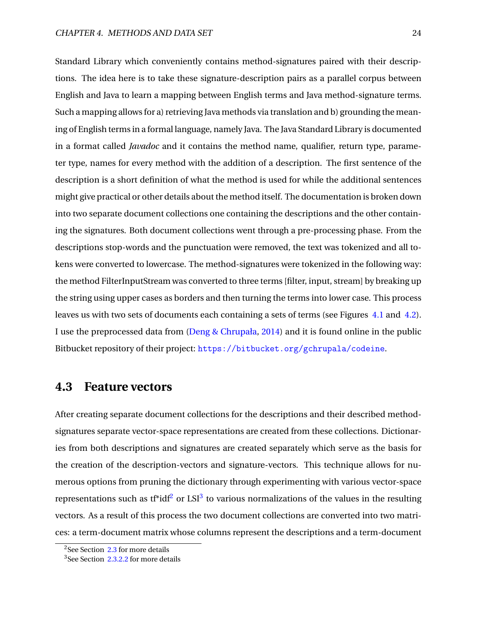Standard Library which conveniently contains method-signatures paired with their descriptions. The idea here is to take these signature-description pairs as a parallel corpus between English and Java to learn a mapping between English terms and Java method-signature terms. Such a mapping allows for a) retrieving Java methods via translation and b) grounding the meaning of English terms in a formal language, namely Java. The Java Standard Library is documented in a format called *Javadoc* and it contains the method name, qualifier, return type, parameter type, names for every method with the addition of a description. The first sentence of the description is a short definition of what the method is used for while the additional sentences might give practical or other details about the method itself. The documentation is broken down into two separate document collections one containing the descriptions and the other containing the signatures. Both document collections went through a pre-processing phase. From the descriptions stop-words and the punctuation were removed, the text was tokenized and all tokens were converted to lowercase. The method-signatures were tokenized in the following way: the method FilterInputStream was converted to three terms [filter, input, stream] by breaking up the string using upper cases as borders and then turning the terms into lower case. This process leaves us with two sets of documents each containing a sets of terms (see Figures [4.1](#page-32-0) and [4.2\)](#page-33-1). I use the preprocessed data from [\(Deng & Chrupała,](#page-57-0) [2014\)](#page-57-0) and it is found online in the public Bitbucket repository of their project: <https://bitbucket.org/gchrupala/codeine>.

### <span id="page-31-0"></span>**4.3 Feature vectors**

After creating separate document collections for the descriptions and their described methodsignatures separate vector-space representations are created from these collections. Dictionaries from both descriptions and signatures are created separately which serve as the basis for the creation of the description-vectors and signature-vectors. This technique allows for numerous options from pruning the dictionary through experimenting with various vector-space representations such as tf\*idf<sup>[2](#page-31-1)</sup> or LSI<sup>[3](#page-31-2)</sup> to various normalizations of the values in the resulting vectors. As a result of this process the two document collections are converted into two matrices: a term-document matrix whose columns represent the descriptions and a term-document

<span id="page-31-1"></span><sup>&</sup>lt;sup>2</sup>See Section [2.3](#page-12-0) for more details

<span id="page-31-2"></span><sup>&</sup>lt;sup>3</sup>See Section [2.3.2.2](#page-15-1) for more details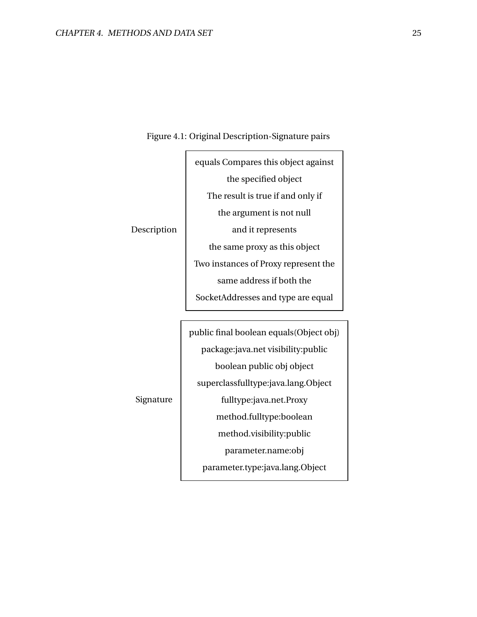<span id="page-32-0"></span>

|             | equals Compares this object against      |
|-------------|------------------------------------------|
|             | the specified object                     |
|             | The result is true if and only if        |
|             | the argument is not null                 |
| Description | and it represents                        |
|             | the same proxy as this object            |
|             | Two instances of Proxy represent the     |
|             | same address if both the                 |
|             | SocketAddresses and type are equal       |
|             |                                          |
|             | public final boolean equals (Object obj) |
|             | package: java.net visibility: public     |
|             | boolean public obj object                |
|             | superclassfulltype:java.lang.Object      |
| Signature   | fulltyne java net Proxy                  |

#### Figure 4.1: Original Description-Signature pairs

Signature

fulltype:java.net.Proxy method.fulltype:boolean method.visibility:public parameter.name:obj parameter.type:java.lang.Object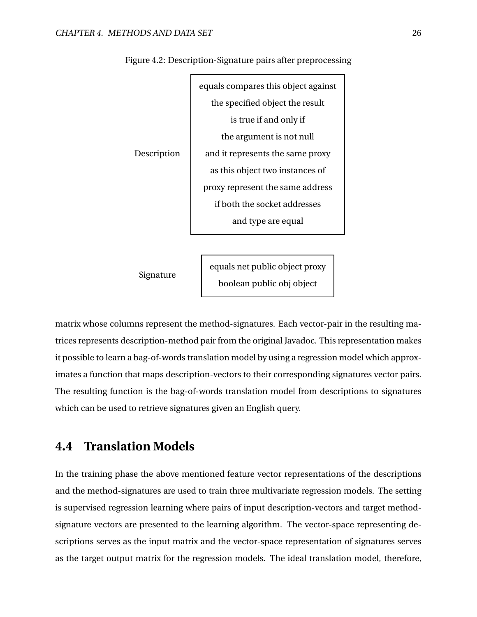

<span id="page-33-1"></span>Figure 4.2: Description-Signature pairs after preprocessing

Signature

equals net public object proxy boolean public obj object

matrix whose columns represent the method-signatures. Each vector-pair in the resulting matrices represents description-method pair from the original Javadoc. This representation makes it possible to learn a bag-of-words translation model by using a regression model which approximates a function that maps description-vectors to their corresponding signatures vector pairs. The resulting function is the bag-of-words translation model from descriptions to signatures which can be used to retrieve signatures given an English query.

## <span id="page-33-0"></span>**4.4 Translation Models**

In the training phase the above mentioned feature vector representations of the descriptions and the method-signatures are used to train three multivariate regression models. The setting is supervised regression learning where pairs of input description-vectors and target methodsignature vectors are presented to the learning algorithm. The vector-space representing descriptions serves as the input matrix and the vector-space representation of signatures serves as the target output matrix for the regression models. The ideal translation model, therefore,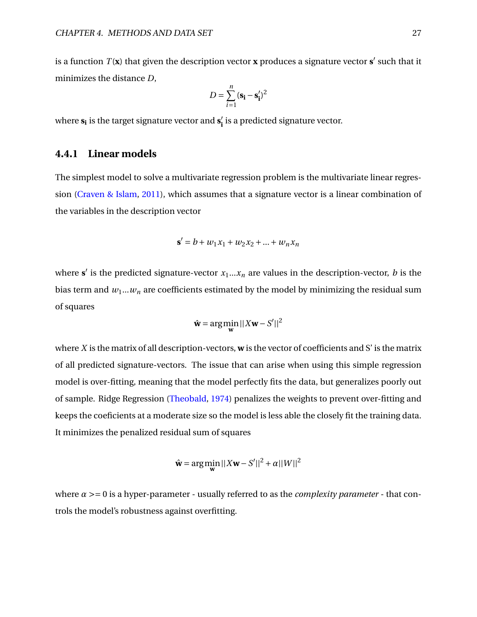is a function  $T(\mathbf{x})$  that given the description vector  $\mathbf{x}$  produces a signature vector  $\mathbf{s}'$  such that it minimizes the distance *D*,

$$
D = \sum_{i=1}^{n} (\mathbf{s_i} - \mathbf{s'_i})^2
$$

<span id="page-34-0"></span>where **s<sup>i</sup>** is the target signature vector and **s** 0  $\boldsymbol{h}^\prime_{\mathbf{i}}$  is a predicted signature vector.

#### **4.4.1 Linear models**

The simplest model to solve a multivariate regression problem is the multivariate linear regression [\(Craven & Islam,](#page-57-9) [2011\)](#page-57-9), which assumes that a signature vector is a linear combination of the variables in the description vector

$$
\mathbf{s}' = b + w_1 x_1 + w_2 x_2 + \dots + w_n x_n
$$

where  $s'$  is the predicted signature-vector  $x_1...x_n$  are values in the description-vector, *b* is the bias term and  $w_1...w_n$  are coefficients estimated by the model by minimizing the residual sum of squares

$$
\hat{\mathbf{w}} = \arg\min_{\mathbf{w}} ||X\mathbf{w} - S'||^2
$$

where *X* is the matrix of all description-vectors, **w** is the vector of coefficients and S' is the matrix of all predicted signature-vectors. The issue that can arise when using this simple regression model is over-fitting, meaning that the model perfectly fits the data, but generalizes poorly out of sample. Ridge Regression [\(Theobald,](#page-60-7) [1974\)](#page-60-7) penalizes the weights to prevent over-fitting and keeps the coeficients at a moderate size so the model is less able the closely fit the training data. It minimizes the penalized residual sum of squares

$$
\hat{\mathbf{w}} = \arg\min_{\mathbf{w}} ||X\mathbf{w} - S'||^2 + \alpha ||W||^2
$$

<span id="page-34-1"></span>where *α* >= 0 is a hyper-parameter - usually referred to as the *complexity parameter* - that controls the model's robustness against overfitting.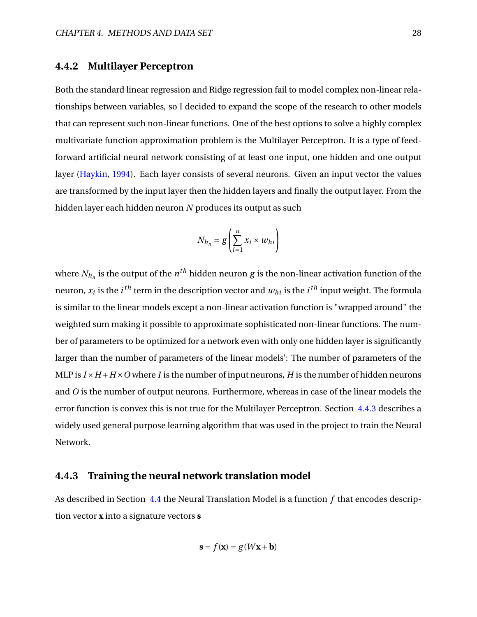#### **4.4.2 Multilayer Perceptron**

Both the standard linear regression and Ridge regression fail to model complex non-linear relationships between variables, so I decided to expand the scope of the research to other models that can represent such non-linear functions. One of the best options to solve a highly complex multivariate function approximation problem is the Multilayer Perceptron. It is a type of feedforward artificial neural network consisting of at least one input, one hidden and one output layer [\(Haykin,](#page-58-14) [1994\)](#page-58-14). Each layer consists of several neurons. Given an input vector the values are transformed by the input layer then the hidden layers and finally the output layer. From the hidden layer each hidden neuron *N* produces its output as such

$$
N_{h_n} = g\left(\sum_{i=1}^n x_i \times w_{hi}\right)
$$

where  $N_{h_n}$  is the output of the  $n^{th}$  hidden neuron  $g$  is the non-linear activation function of the neuron,  $x_i$  is the  $i^{th}$  term in the description vector and  $w_{hi}$  is the  $i^{th}$  input weight. The formula is similar to the linear models except a non-linear activation function is "wrapped around" the weighted sum making it possible to approximate sophisticated non-linear functions. The number of parameters to be optimized for a network even with only one hidden layer is significantly larger than the number of parameters of the linear models': The number of parameters of the MLP is  $I \times H + H \times O$  where *I* is the number of input neurons, *H* is the number of hidden neurons and *O* is the number of output neurons. Furthermore, whereas in case of the linear models the error function is convex this is not true for the Multilayer Perceptron. Section [4.4.3](#page-35-0) describes a widely used general purpose learning algorithm that was used in the project to train the Neural Network.

#### <span id="page-35-0"></span>**4.4.3 Training the neural network translation model**

As described in Section [4.4](#page-33-0) the Neural Translation Model is a function *f* that encodes description vector **x** into a signature vectors **s**

$$
\mathbf{s} = f(\mathbf{x}) = g(W\mathbf{x} + \mathbf{b})
$$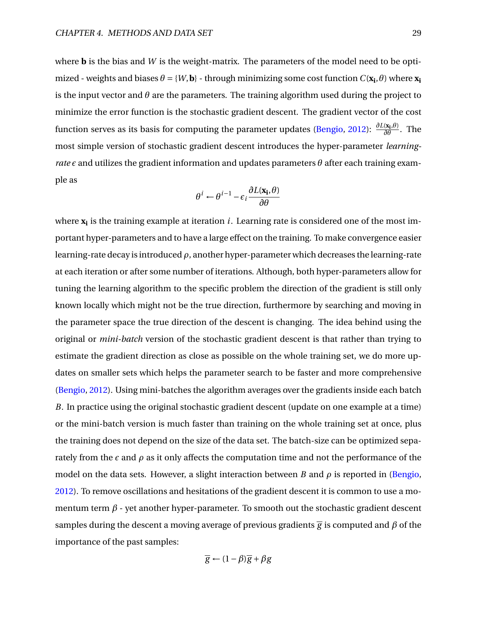where **b** is the bias and *W* is the weight-matrix. The parameters of the model need to be optimized - weights and biases  $\theta = \{W, \mathbf{b}\}$  - through minimizing some cost function  $C(\mathbf{x_i}, \theta)$  where  $\mathbf{x_i}$ is the input vector and  $\theta$  are the parameters. The training algorithm used during the project to minimize the error function is the stochastic gradient descent. The gradient vector of the cost function serves as its basis for computing the parameter updates [\(Bengio,](#page-57-10) [2012\)](#page-57-10): *<sup>∂</sup>L*(**x<sup>i</sup>** ,*θ*) *∂θ* . The most simple version of stochastic gradient descent introduces the hyper-parameter *learningrate*  $\epsilon$  and utilizes the gradient information and updates parameters  $\theta$  after each training example as

$$
\theta^{i} \leftarrow \theta^{i-1} - \epsilon_i \frac{\partial L(\mathbf{x_i}, \theta)}{\partial \theta}
$$

where **x<sup>i</sup>** is the training example at iteration *i*. Learning rate is considered one of the most important hyper-parameters and to have a large effect on the training. To make convergence easier learning-rate decay is introduced *ρ*, another hyper-parameter which decreases the learning-rate at each iteration or after some number of iterations. Although, both hyper-parameters allow for tuning the learning algorithm to the specific problem the direction of the gradient is still only known locally which might not be the true direction, furthermore by searching and moving in the parameter space the true direction of the descent is changing. The idea behind using the original or *mini-batch* version of the stochastic gradient descent is that rather than trying to estimate the gradient direction as close as possible on the whole training set, we do more updates on smaller sets which helps the parameter search to be faster and more comprehensive [\(Bengio,](#page-57-10) [2012\)](#page-57-10). Using mini-batches the algorithm averages over the gradients inside each batch *B*. In practice using the original stochastic gradient descent (update on one example at a time) or the mini-batch version is much faster than training on the whole training set at once, plus the training does not depend on the size of the data set. The batch-size can be optimized separately from the  $\epsilon$  and  $\rho$  as it only affects the computation time and not the performance of the model on the data sets. However, a slight interaction between *B* and  $\rho$  is reported in [\(Bengio,](#page-57-10) [2012\)](#page-57-10). To remove oscillations and hesitations of the gradient descent it is common to use a momentum term  $\beta$  - yet another hyper-parameter. To smooth out the stochastic gradient descent samples during the descent a moving average of previous gradients  $\bar{g}$  is computed and  $\beta$  of the importance of the past samples:

$$
\overline{g} \leftarrow (1 - \beta)\overline{g} + \beta g
$$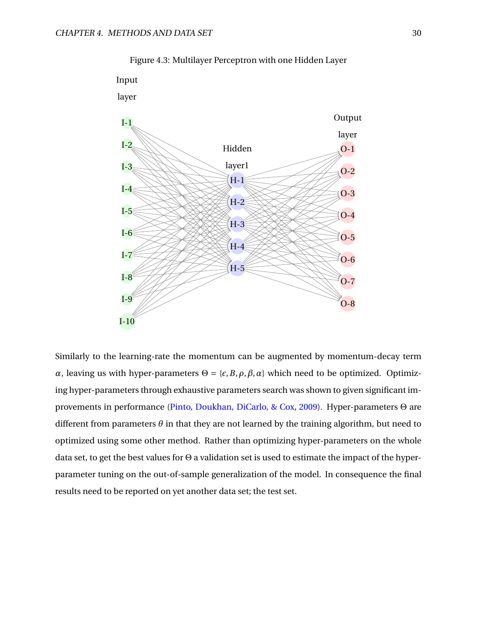<span id="page-37-1"></span>

Figure 4.3: Multilayer Perceptron with one Hidden Layer

<span id="page-37-0"></span>Similarly to the learning-rate the momentum can be augmented by momentum-decay term *α*, leaving us with hyper-parameters  $Θ = \{\varepsilon, B, \rho, \beta, \alpha\}$  which need to be optimized. Optimizing hyper-parameters through exhaustive parameters search was shown to given significant improvements in performance [\(Pinto, Doukhan, DiCarlo, & Cox,](#page-60-8) [2009\)](#page-60-8). Hyper-parameters Θ are different from parameters  $\theta$  in that they are not learned by the training algorithm, but need to optimized using some other method. Rather than optimizing hyper-parameters on the whole data set, to get the best values for Θ a validation set is used to estimate the impact of the hyperparameter tuning on the out-of-sample generalization of the model. In consequence the final results need to be reported on yet another data set; the test set.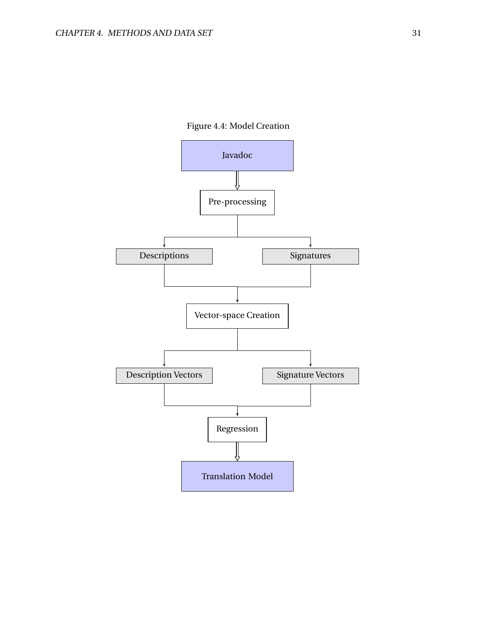

<span id="page-38-0"></span>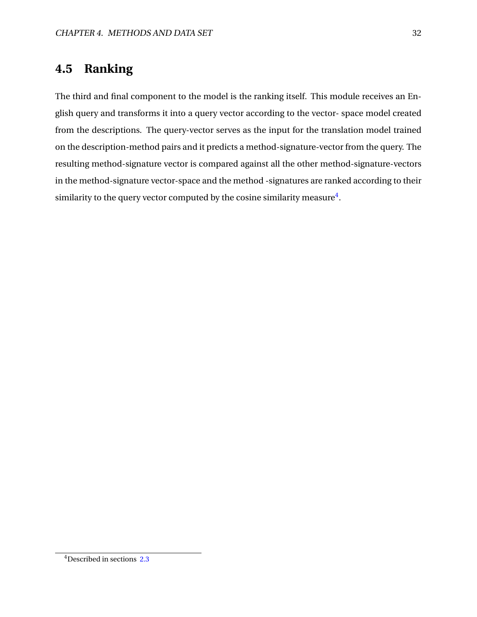## **4.5 Ranking**

The third and final component to the model is the ranking itself. This module receives an English query and transforms it into a query vector according to the vector- space model created from the descriptions. The query-vector serves as the input for the translation model trained on the description-method pairs and it predicts a method-signature-vector from the query. The resulting method-signature vector is compared against all the other method-signature-vectors in the method-signature vector-space and the method -signatures are ranked according to their similarity to the query vector computed by the cosine similarity measure $^4\!$  $^4\!$  $^4\!$ .

<span id="page-39-0"></span><sup>4</sup>Described in sections [2.3](#page-12-0)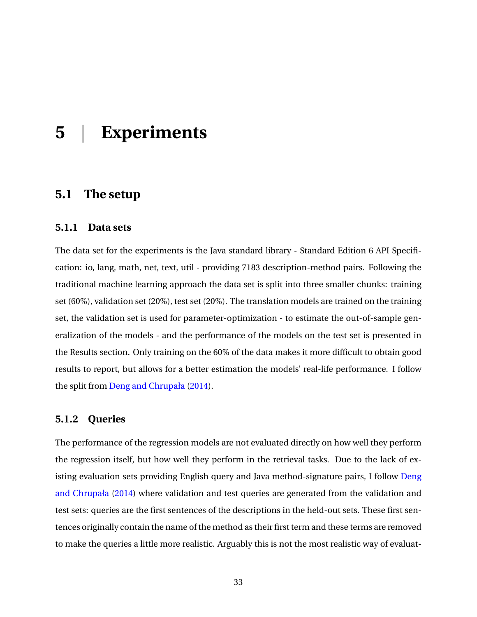## <span id="page-40-0"></span>**5 | Experiments**

## <span id="page-40-1"></span>**5.1 The setup**

#### <span id="page-40-2"></span>**5.1.1 Data sets**

The data set for the experiments is the Java standard library - Standard Edition 6 API Specification: io, lang, math, net, text, util - providing 7183 description-method pairs. Following the traditional machine learning approach the data set is split into three smaller chunks: training set (60%), validation set (20%), test set (20%). The translation models are trained on the training set, the validation set is used for parameter-optimization - to estimate the out-of-sample generalization of the models - and the performance of the models on the test set is presented in the Results section. Only training on the 60% of the data makes it more difficult to obtain good results to report, but allows for a better estimation the models' real-life performance. I follow the split from [Deng and Chrupała](#page-57-0) [\(2014\)](#page-57-0).

#### <span id="page-40-3"></span>**5.1.2 Queries**

The performance of the regression models are not evaluated directly on how well they perform the regression itself, but how well they perform in the retrieval tasks. Due to the lack of existing evaluation sets providing English query and Java method-signature pairs, I follow [Deng](#page-57-0) [and Chrupała](#page-57-0) [\(2014\)](#page-57-0) where validation and test queries are generated from the validation and test sets: queries are the first sentences of the descriptions in the held-out sets. These first sentences originally contain the name of the method as their first term and these terms are removed to make the queries a little more realistic. Arguably this is not the most realistic way of evaluat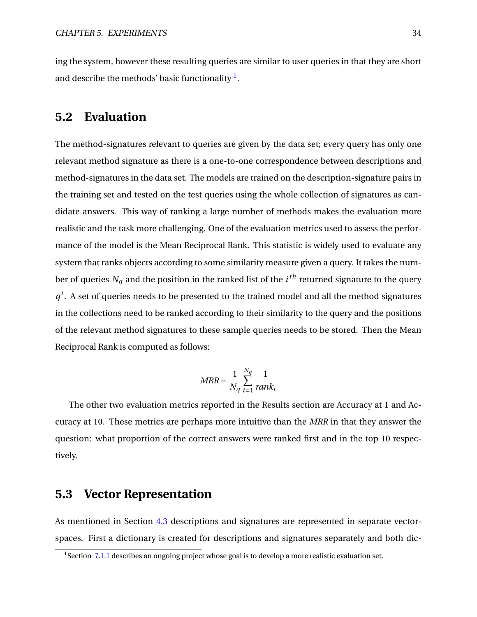<span id="page-41-0"></span>ing the system, however these resulting queries are similar to user queries in that they are short and describe the methods' basic functionality  $<sup>1</sup>$  $<sup>1</sup>$  $<sup>1</sup>$ .</sup>

## **5.2 Evaluation**

The method-signatures relevant to queries are given by the data set; every query has only one relevant method signature as there is a one-to-one correspondence between descriptions and method-signatures in the data set. The models are trained on the description-signature pairs in the training set and tested on the test queries using the whole collection of signatures as candidate answers. This way of ranking a large number of methods makes the evaluation more realistic and the task more challenging. One of the evaluation metrics used to assess the performance of the model is the Mean Reciprocal Rank. This statistic is widely used to evaluate any system that ranks objects according to some similarity measure given a query. It takes the number of queries  $N_q$  and the position in the ranked list of the  $i^{th}$  returned signature to the query  $q<sup>i</sup>$ . A set of queries needs to be presented to the trained model and all the method signatures in the collections need to be ranked according to their similarity to the query and the positions of the relevant method signatures to these sample queries needs to be stored. Then the Mean Reciprocal Rank is computed as follows:

$$
MRR = \frac{1}{N_q} \sum_{i=1}^{N_q} \frac{1}{rank_i}
$$

The other two evaluation metrics reported in the Results section are Accuracy at 1 and Accuracy at 10. These metrics are perhaps more intuitive than the *MRR* in that they answer the question: what proportion of the correct answers were ranked first and in the top 10 respectively.

### <span id="page-41-1"></span>**5.3 Vector Representation**

As mentioned in Section [4.3](#page-31-0) descriptions and signatures are represented in separate vectorspaces. First a dictionary is created for descriptions and signatures separately and both dic-

<span id="page-41-2"></span><sup>&</sup>lt;sup>1</sup> Section [7.1.1](#page-54-2) describes an ongoing project whose goal is to develop a more realistic evaluation set.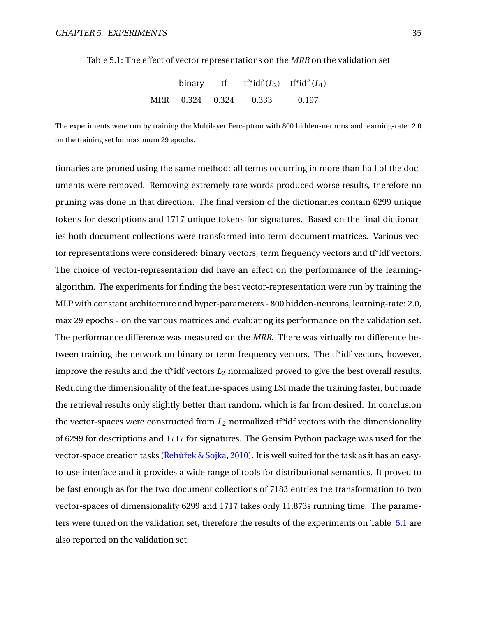|            | binary            | tf | tf*idf $(L_2)$   tf*idf $(L_1)$ |       |  |
|------------|-------------------|----|---------------------------------|-------|--|
| <b>MRR</b> | $0.324 \pm 0.324$ |    | 0.333                           | 0.197 |  |

<span id="page-42-1"></span>

|  |  | Table 5.1: The effect of vector representations on the MRR on the validation set |  |  |  |  |  |
|--|--|----------------------------------------------------------------------------------|--|--|--|--|--|
|  |  |                                                                                  |  |  |  |  |  |

The experiments were run by training the Multilayer Perceptron with 800 hidden-neurons and learning-rate: 2.0 on the training set for maximum 29 epochs.

<span id="page-42-0"></span>tionaries are pruned using the same method: all terms occurring in more than half of the documents were removed. Removing extremely rare words produced worse results, therefore no pruning was done in that direction. The final version of the dictionaries contain 6299 unique tokens for descriptions and 1717 unique tokens for signatures. Based on the final dictionaries both document collections were transformed into term-document matrices. Various vector representations were considered: binary vectors, term frequency vectors and tf\*idf vectors. The choice of vector-representation did have an effect on the performance of the learningalgorithm. The experiments for finding the best vector-representation were run by training the MLP with constant architecture and hyper-parameters - 800 hidden-neurons, learning-rate: 2.0, max 29 epochs - on the various matrices and evaluating its performance on the validation set. The performance difference was measured on the *MRR*. There was virtually no difference between training the network on binary or term-frequency vectors. The tf\*idf vectors, however, improve the results and the t<sup>\*</sup>idf vectors  $L_2$  normalized proved to give the best overall results. Reducing the dimensionality of the feature-spaces using LSI made the training faster, but made the retrieval results only slightly better than random, which is far from desired. In conclusion the vector-spaces were constructed from *L*<sup>2</sup> normalized tf\*idf vectors with the dimensionality of 6299 for descriptions and 1717 for signatures. The Gensim Python package was used for the vector-space creation tasks (Rehũřek & Sojka, [2010\)](#page-60-9). It is well suited for the task as it has an easyto-use interface and it provides a wide range of tools for distributional semantics. It proved to be fast enough as for the two document collections of 7183 entries the transformation to two vector-spaces of dimensionality 6299 and 1717 takes only 11.873s running time. The parameters were tuned on the validation set, therefore the results of the experiments on Table [5.1](#page-42-1) are also reported on the validation set.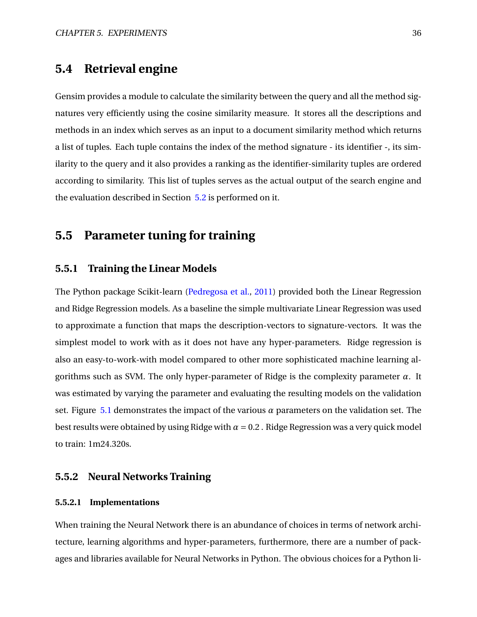### **5.4 Retrieval engine**

Gensim provides a module to calculate the similarity between the query and all the method signatures very efficiently using the cosine similarity measure. It stores all the descriptions and methods in an index which serves as an input to a document similarity method which returns a list of tuples. Each tuple contains the index of the method signature - its identifier -, its similarity to the query and it also provides a ranking as the identifier-similarity tuples are ordered according to similarity. This list of tuples serves as the actual output of the search engine and the evaluation described in Section [5.2](#page-41-0) is performed on it.

## <span id="page-43-0"></span>**5.5 Parameter tuning for training**

#### <span id="page-43-1"></span>**5.5.1 Training the Linear Models**

The Python package Scikit-learn [\(Pedregosa et al.,](#page-59-10) [2011\)](#page-59-10) provided both the Linear Regression and Ridge Regression models. As a baseline the simple multivariate Linear Regression was used to approximate a function that maps the description-vectors to signature-vectors. It was the simplest model to work with as it does not have any hyper-parameters. Ridge regression is also an easy-to-work-with model compared to other more sophisticated machine learning algorithms such as SVM. The only hyper-parameter of Ridge is the complexity parameter *α*. It was estimated by varying the parameter and evaluating the resulting models on the validation set. Figure [5.1](#page-44-0) demonstrates the impact of the various  $\alpha$  parameters on the validation set. The best results were obtained by using Ridge with  $\alpha = 0.2$ . Ridge Regression was a very quick model to train: 1m24.320s.

#### <span id="page-43-2"></span>**5.5.2 Neural Networks Training**

#### <span id="page-43-3"></span>**5.5.2.1 Implementations**

When training the Neural Network there is an abundance of choices in terms of network architecture, learning algorithms and hyper-parameters, furthermore, there are a number of packages and libraries available for Neural Networks in Python. The obvious choices for a Python li-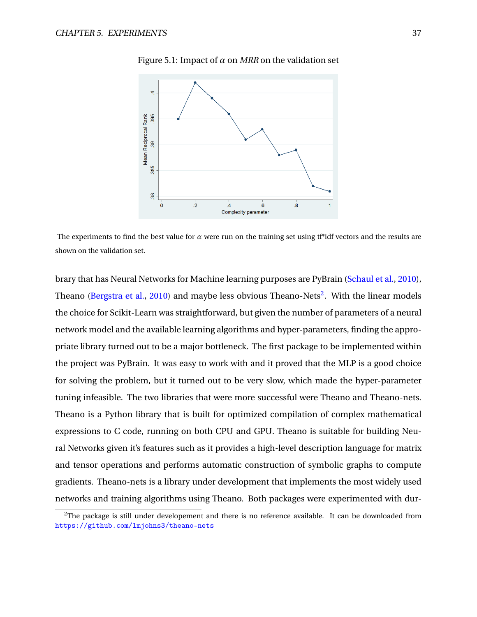<span id="page-44-0"></span>

Figure 5.1: Impact of  $\alpha$  on *MRR* on the validation set

The experiments to find the best value for  $\alpha$  were run on the training set using t<sup>\*\*</sup>idf vectors and the results are shown on the validation set.

brary that has Neural Networks for Machine learning purposes are PyBrain [\(Schaul et al.,](#page-60-10) [2010\)](#page-60-10), Theano [\(Bergstra et al.,](#page-57-11) [2010\)](#page-57-11) and maybe less obvious Theano-Nets<sup>[2](#page-44-1)</sup>. With the linear models the choice for Scikit-Learn was straightforward, but given the number of parameters of a neural network model and the available learning algorithms and hyper-parameters, finding the appropriate library turned out to be a major bottleneck. The first package to be implemented within the project was PyBrain. It was easy to work with and it proved that the MLP is a good choice for solving the problem, but it turned out to be very slow, which made the hyper-parameter tuning infeasible. The two libraries that were more successful were Theano and Theano-nets. Theano is a Python library that is built for optimized compilation of complex mathematical expressions to C code, running on both CPU and GPU. Theano is suitable for building Neural Networks given it's features such as it provides a high-level description language for matrix and tensor operations and performs automatic construction of symbolic graphs to compute gradients. Theano-nets is a library under development that implements the most widely used networks and training algorithms using Theano. Both packages were experimented with dur-

<span id="page-44-1"></span> $2$ The package is still under developement and there is no reference available. It can be downloaded from <https://github.com/lmjohns3/theano-nets>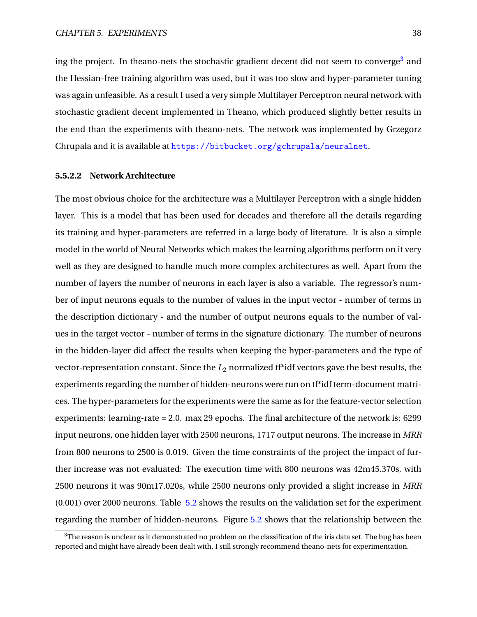ing the project. In theano-nets the stochastic gradient decent did not seem to converge<sup>[3](#page-45-1)</sup> and the Hessian-free training algorithm was used, but it was too slow and hyper-parameter tuning was again unfeasible. As a result I used a very simple Multilayer Perceptron neural network with stochastic gradient decent implemented in Theano, which produced slightly better results in the end than the experiments with theano-nets. The network was implemented by Grzegorz Chrupala and it is available at <https://bitbucket.org/gchrupala/neuralnet>.

#### <span id="page-45-0"></span>**5.5.2.2 Network Architecture**

The most obvious choice for the architecture was a Multilayer Perceptron with a single hidden layer. This is a model that has been used for decades and therefore all the details regarding its training and hyper-parameters are referred in a large body of literature. It is also a simple model in the world of Neural Networks which makes the learning algorithms perform on it very well as they are designed to handle much more complex architectures as well. Apart from the number of layers the number of neurons in each layer is also a variable. The regressor's number of input neurons equals to the number of values in the input vector - number of terms in the description dictionary - and the number of output neurons equals to the number of values in the target vector - number of terms in the signature dictionary. The number of neurons in the hidden-layer did affect the results when keeping the hyper-parameters and the type of vector-representation constant. Since the  $L_2$  normalized t<sup>\*</sup>idf vectors gave the best results, the experiments regarding the number of hidden-neurons were run on tf\*idf term-document matrices. The hyper-parameters for the experiments were the same as for the feature-vector selection experiments: learning-rate = 2.0. max 29 epochs. The final architecture of the network is: 6299 input neurons, one hidden layer with 2500 neurons, 1717 output neurons. The increase in *MRR* from 800 neurons to 2500 is 0.019. Given the time constraints of the project the impact of further increase was not evaluated: The execution time with 800 neurons was 42m45.370s, with 2500 neurons it was 90m17.020s, while 2500 neurons only provided a slight increase in *MRR* (0.001) over 2000 neurons. Table [5.2](#page-46-2) shows the results on the validation set for the experiment regarding the number of hidden-neurons. Figure [5.2](#page-46-1) shows that the relationship between the

<span id="page-45-1"></span> $3$ The reason is unclear as it demonstrated no problem on the classification of the iris data set. The bug has been reported and might have already been dealt with. I still strongly recommend theano-nets for experimentation.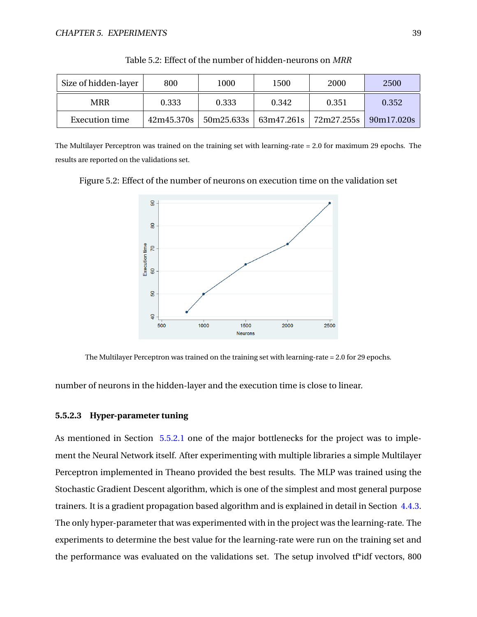<span id="page-46-2"></span>

| Size of hidden-layer | 800        | 1000       | 1500  | 2000                        | 2500       |
|----------------------|------------|------------|-------|-----------------------------|------------|
| MRR                  | 0.333      | 0.333      | 0.342 | 0.351                       | 0.352      |
| Execution time       | 42m45.370s | 50m25.633s |       | $63m47.261s$   $72m27.255s$ | 90m17.020s |

Table 5.2: Effect of the number of hidden-neurons on *MRR*

The Multilayer Perceptron was trained on the training set with learning-rate = 2.0 for maximum 29 epochs. The results are reported on the validations set.

<span id="page-46-1"></span>Figure 5.2: Effect of the number of neurons on execution time on the validation set



The Multilayer Perceptron was trained on the training set with learning-rate = 2.0 for 29 epochs.

<span id="page-46-0"></span>number of neurons in the hidden-layer and the execution time is close to linear.

#### **5.5.2.3 Hyper-parameter tuning**

As mentioned in Section [5.5.2.1](#page-43-3) one of the major bottlenecks for the project was to implement the Neural Network itself. After experimenting with multiple libraries a simple Multilayer Perceptron implemented in Theano provided the best results. The MLP was trained using the Stochastic Gradient Descent algorithm, which is one of the simplest and most general purpose trainers. It is a gradient propagation based algorithm and is explained in detail in Section [4.4.3.](#page-35-0) The only hyper-parameter that was experimented with in the project was the learning-rate. The experiments to determine the best value for the learning-rate were run on the training set and the performance was evaluated on the validations set. The setup involved tf\*idf vectors, 800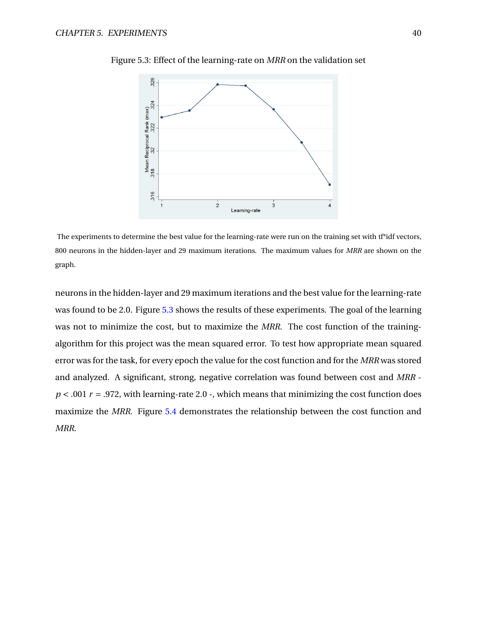

<span id="page-47-0"></span>Figure 5.3: Effect of the learning-rate on *MRR* on the validation set

The experiments to determine the best value for the learning-rate were run on the training set with tf\*idf vectors, 800 neurons in the hidden-layer and 29 maximum iterations. The maximum values for *MRR* are shown on the graph.

neurons in the hidden-layer and 29 maximum iterations and the best value for the learning-rate was found to be 2.0. Figure [5.3](#page-47-0) shows the results of these experiments. The goal of the learning was not to minimize the cost, but to maximize the *MRR*. The cost function of the trainingalgorithm for this project was the mean squared error. To test how appropriate mean squared error was for the task, for every epoch the value for the cost function and for the *MRR* was stored and analyzed. A significant, strong, negative correlation was found between cost and *MRR*  $p < .001$   $r = .972$ , with learning-rate 2.0 -, which means that minimizing the cost function does maximize the *MRR*. Figure [5.4](#page-48-0) demonstrates the relationship between the cost function and *MRR*.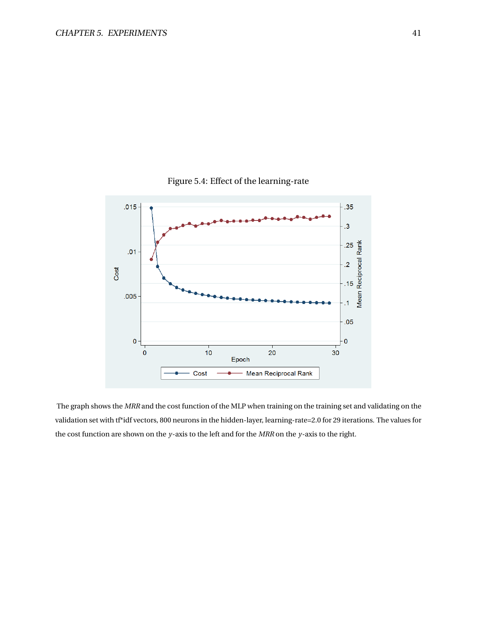<span id="page-48-0"></span>

#### Figure 5.4: Effect of the learning-rate

The graph shows the *MRR* and the cost function of the MLP when training on the training set and validating on the validation set with tf\*idf vectors, 800 neurons in the hidden-layer, learning-rate=2.0 for 29 iterations. The values for the cost function are shown on the *y*-axis to the left and for the *MRR* on the *y*-axis to the right.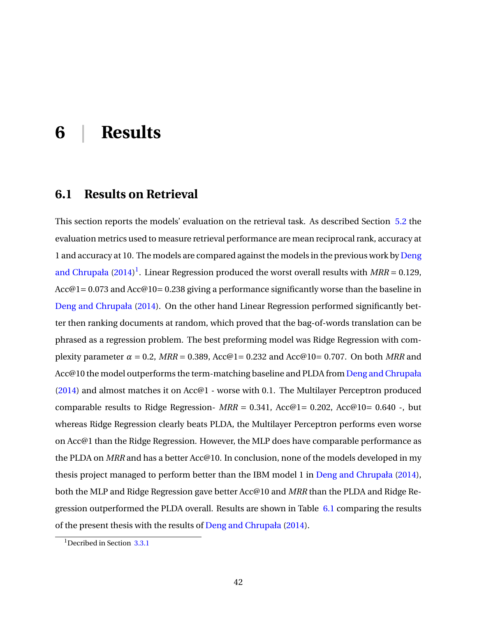## <span id="page-49-0"></span>**6 | Results**

## <span id="page-49-1"></span>**6.1 Results on Retrieval**

This section reports the models' evaluation on the retrieval task. As described Section [5.2](#page-41-0) the evaluation metrics used to measure retrieval performance are mean reciprocal rank, accuracy at 1 and accuracy at 10. The models are compared against the models in the previous work by [Deng](#page-57-0) [and Chrupała](#page-57-0)  $(2014)^1$  $(2014)^1$  $(2014)^1$ . Linear Regression produced the worst overall results with  $MRR = 0.129$ , Acc@1 = 0.073 and Acc@10 = 0.238 giving a performance significantly worse than the baseline in [Deng and Chrupała](#page-57-0) [\(2014\)](#page-57-0). On the other hand Linear Regression performed significantly better then ranking documents at random, which proved that the bag-of-words translation can be phrased as a regression problem. The best preforming model was Ridge Regression with complexity parameter  $\alpha = 0.2$ ,  $MRR = 0.389$ ,  $Acc@1 = 0.232$  and  $Acc@10 = 0.707$ . On both MRR and Acc@10 the model outperforms the term-matching baseline and PLDA from [Deng and Chrupała](#page-57-0) [\(2014\)](#page-57-0) and almost matches it on Acc@1 - worse with 0.1. The Multilayer Perceptron produced comparable results to Ridge Regression-  $MRR = 0.341$ , Acc@1= 0.202, Acc@10= 0.640 -, but whereas Ridge Regression clearly beats PLDA, the Multilayer Perceptron performs even worse on Acc@1 than the Ridge Regression. However, the MLP does have comparable performance as the PLDA on *MRR* and has a better Acc@10. In conclusion, none of the models developed in my thesis project managed to perform better than the IBM model 1 in [Deng and Chrupała](#page-57-0) [\(2014\)](#page-57-0), both the MLP and Ridge Regression gave better Acc@10 and *MRR* than the PLDA and Ridge Re-gression outperformed the PLDA overall. Results are shown in Table [6.1](#page-50-0) comparing the results of the present thesis with the results of [Deng and Chrupała](#page-57-0) [\(2014\)](#page-57-0).

<span id="page-49-3"></span><span id="page-49-2"></span><sup>&</sup>lt;sup>1</sup>Decribed in Section [3.3.1](#page-27-1)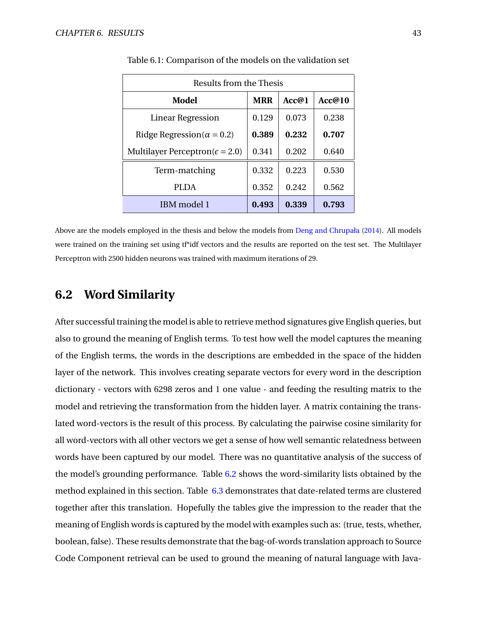<span id="page-50-0"></span>

| Results from the Thesis                  |            |       |        |  |  |  |  |
|------------------------------------------|------------|-------|--------|--|--|--|--|
| Model                                    | <b>MRR</b> | Acc@1 | Acc@10 |  |  |  |  |
| Linear Regression                        | 0.129      | 0.073 | 0.238  |  |  |  |  |
| Ridge Regression( $\alpha = 0.2$ )       | 0.389      | 0.232 | 0.707  |  |  |  |  |
| Multilayer Perceptron( $\epsilon$ = 2.0) | 0.341      | 0.202 | 0.640  |  |  |  |  |
| Term-matching                            | 0.332      | 0.223 | 0.530  |  |  |  |  |
| <b>PLDA</b>                              | 0.352      | 0.242 | 0.562  |  |  |  |  |
| IBM model 1                              | 0.493      | 0.339 | 0.793  |  |  |  |  |

Table 6.1: Comparison of the models on the validation set

Above are the models employed in the thesis and below the models from [Deng and Chrupała](#page-57-0) [\(2014\)](#page-57-0). All models were trained on the training set using tf\*idf vectors and the results are reported on the test set. The Multilayer Perceptron with 2500 hidden neurons was trained with maximum iterations of 29.

## **6.2 Word Similarity**

After successful training the model is able to retrieve method signatures give English queries, but also to ground the meaning of English terms. To test how well the model captures the meaning of the English terms, the words in the descriptions are embedded in the space of the hidden layer of the network. This involves creating separate vectors for every word in the description dictionary - vectors with 6298 zeros and 1 one value - and feeding the resulting matrix to the model and retrieving the transformation from the hidden layer. A matrix containing the translated word-vectors is the result of this process. By calculating the pairwise cosine similarity for all word-vectors with all other vectors we get a sense of how well semantic relatedness between words have been captured by our model. There was no quantitative analysis of the success of the model's grounding performance. Table [6.2](#page-51-1) shows the word-similarity lists obtained by the method explained in this section. Table [6.3](#page-51-2) demonstrates that date-related terms are clustered together after this translation. Hopefully the tables give the impression to the reader that the meaning of English words is captured by the model with examples such as: (true, tests, whether, boolean, false). These results demonstrate that the bag-of-words translation approach to Source Code Component retrieval can be used to ground the meaning of natural language with Java-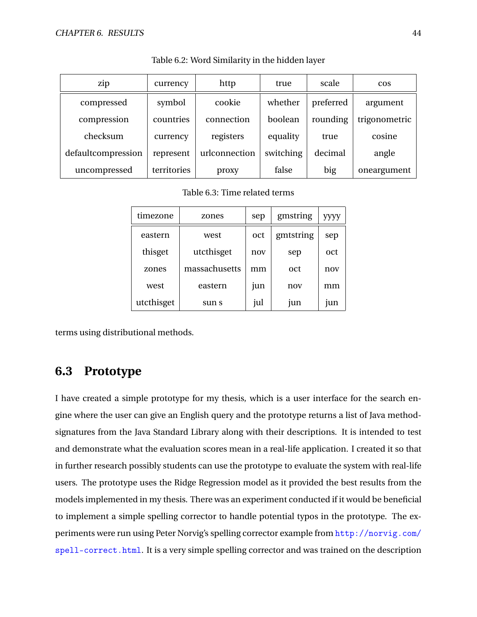<span id="page-51-1"></span>

| zip                | currency    | http          | true      | scale     | $\cos$        |
|--------------------|-------------|---------------|-----------|-----------|---------------|
| compressed         | symbol      | cookie        | whether   | preferred | argument      |
| compression        | countries   | connection    | boolean   | rounding  | trigonometric |
| checksum           | currency    | registers     | equality  | true      | cosine        |
| defaultcompression | represent   | urlconnection | switching | decimal   | angle         |
| uncompressed       | territories | proxy         | false     | big       | oneargument   |

Table 6.2: Word Similarity in the hidden layer

Table 6.3: Time related terms

<span id="page-51-2"></span>

| timezone   | zones         | sep | gmstring  | уууу |
|------------|---------------|-----|-----------|------|
| eastern    | west          | oct | gmtstring | sep  |
| thisget    | utcthisget    | nov | sep       | oct  |
| zones      | massachusetts | mm  | oct       | nov  |
| west       | eastern       | jun | nov       | mm   |
| utcthisget | sun s         | jul | jun       | jun  |

<span id="page-51-0"></span>terms using distributional methods.

## **6.3 Prototype**

I have created a simple prototype for my thesis, which is a user interface for the search engine where the user can give an English query and the prototype returns a list of Java methodsignatures from the Java Standard Library along with their descriptions. It is intended to test and demonstrate what the evaluation scores mean in a real-life application. I created it so that in further research possibly students can use the prototype to evaluate the system with real-life users. The prototype uses the Ridge Regression model as it provided the best results from the models implemented in my thesis. There was an experiment conducted if it would be beneficial to implement a simple spelling corrector to handle potential typos in the prototype. The experiments were run using Peter Norvig's spelling corrector example from [http://norvig.com/](http://norvig.com/spell-correct.html) [spell-correct.html](http://norvig.com/spell-correct.html). It is a very simple spelling corrector and was trained on the description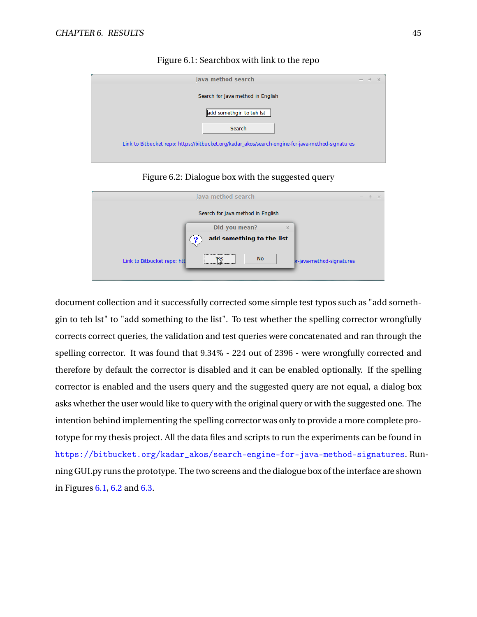<span id="page-52-0"></span>

| java method search                                                                                |  | $-20$ |
|---------------------------------------------------------------------------------------------------|--|-------|
| Search for Java method in English                                                                 |  |       |
| add somethgin to teh Ist                                                                          |  |       |
| Search                                                                                            |  |       |
| Link to Bitbucket repo: https://bitbucket.org/kadar akos/search-engine-for-java-method-signatures |  |       |

Figure 6.1: Searchbox with link to the repo

Figure 6.2: Dialogue box with the suggested query

<span id="page-52-1"></span>

|                             | java method search                | - 36<br>$\sim$            |
|-----------------------------|-----------------------------------|---------------------------|
|                             | Search for Java method in English |                           |
|                             | Did you mean?<br>$\times$         |                           |
|                             | add something to the list         |                           |
| Link to Bitbucket repo: htt | $No$                              | pr-java-method-signatures |

document collection and it successfully corrected some simple test typos such as "add somethgin to teh lst" to "add something to the list". To test whether the spelling corrector wrongfully corrects correct queries, the validation and test queries were concatenated and ran through the spelling corrector. It was found that 9.34% - 224 out of 2396 - were wrongfully corrected and therefore by default the corrector is disabled and it can be enabled optionally. If the spelling corrector is enabled and the users query and the suggested query are not equal, a dialog box asks whether the user would like to query with the original query or with the suggested one. The intention behind implementing the spelling corrector was only to provide a more complete prototype for my thesis project. All the data files and scripts to run the experiments can be found in [https://bitbucket.org/kadar\\_akos/search-engine-for-java-method-signatures](https://bitbucket.org/kadar_akos/search-engine-for-java-method-signatures). Running GUI.py runs the prototype. The two screens and the dialogue box of the interface are shown in Figures [6.1,](#page-52-0) [6.2](#page-52-1) and [6.3.](#page-53-0)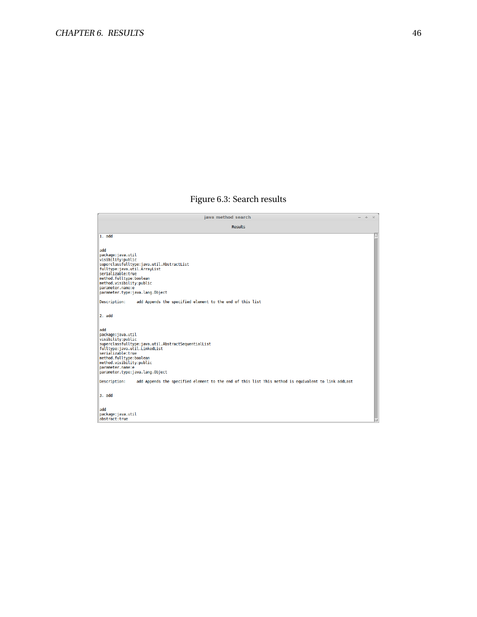## Figure 6.3: Search results

<span id="page-53-0"></span>

| java method search                                                                                                  | $\Delta \omega$ | $\rightarrow$ |
|---------------------------------------------------------------------------------------------------------------------|-----------------|---------------|
| <b>Results</b>                                                                                                      |                 |               |
| 1. add                                                                                                              |                 |               |
|                                                                                                                     |                 |               |
| add<br>package: java.util                                                                                           |                 |               |
| visibility:public                                                                                                   |                 |               |
| superclassfulltype:java.util.AbstractList<br>fulltype:java.util.ArrayList                                           |                 |               |
| serializable:true                                                                                                   |                 |               |
| method.fulltype:boolean<br>method.visibility:public                                                                 |                 |               |
| parameter.name:e                                                                                                    |                 |               |
| parameter.type:java.lang.Object                                                                                     |                 |               |
| add Appends the specified element to the end of this list<br>Description:                                           |                 |               |
| 2. add                                                                                                              |                 |               |
|                                                                                                                     |                 |               |
| add                                                                                                                 |                 |               |
| package: java.util                                                                                                  |                 |               |
| visibility:public<br>superclassfulltype:java.util.AbstractSequentialList                                            |                 |               |
| fulltype:java.util.LinkedList                                                                                       |                 |               |
| serializable:true<br>method.fulltype:boolean                                                                        |                 |               |
| method.visibility:public                                                                                            |                 |               |
| parameter.name:e<br>parameter.type:java.lang.Object                                                                 |                 |               |
|                                                                                                                     |                 |               |
| add Appends the specified element to the end of this list This method is equivalent to link addLast<br>Description: |                 |               |
| $3.$ add                                                                                                            |                 |               |
|                                                                                                                     |                 |               |
| add                                                                                                                 |                 |               |
| package: java.util<br>abstract:true                                                                                 |                 |               |
|                                                                                                                     |                 |               |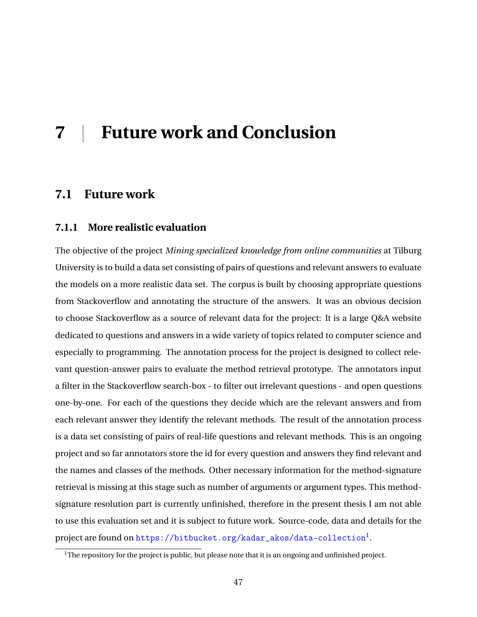## <span id="page-54-0"></span>**7 | Future work and Conclusion**

### <span id="page-54-1"></span>**7.1 Future work**

#### <span id="page-54-2"></span>**7.1.1 More realistic evaluation**

The objective of the project *Mining specialized knowledge from online communities* at Tilburg University is to build a data set consisting of pairs of questions and relevant answers to evaluate the models on a more realistic data set. The corpus is built by choosing appropriate questions from Stackoverflow and annotating the structure of the answers. It was an obvious decision to choose Stackoverflow as a source of relevant data for the project: It is a large Q&A website dedicated to questions and answers in a wide variety of topics related to computer science and especially to programming. The annotation process for the project is designed to collect relevant question-answer pairs to evaluate the method retrieval prototype. The annotators input a filter in the Stackoverflow search-box - to filter out irrelevant questions - and open questions one-by-one. For each of the questions they decide which are the relevant answers and from each relevant answer they identify the relevant methods. The result of the annotation process is a data set consisting of pairs of real-life questions and relevant methods. This is an ongoing project and so far annotators store the id for every question and answers they find relevant and the names and classes of the methods. Other necessary information for the method-signature retrieval is missing at this stage such as number of arguments or argument types. This methodsignature resolution part is currently unfinished, therefore in the present thesis I am not able to use this evaluation set and it is subject to future work. Source-code, data and details for the  $\tt{project}$  are found on  $\tt{https://bitbucket.org/kadar_akos/data-collection}^l.$  $\tt{https://bitbucket.org/kadar_akos/data-collection}^l.$  $\tt{https://bitbucket.org/kadar_akos/data-collection}^l.$ 

<span id="page-54-4"></span><span id="page-54-3"></span><sup>&</sup>lt;sup>1</sup>The repository for the project is public, but please note that it is an ongoing and unfinished project.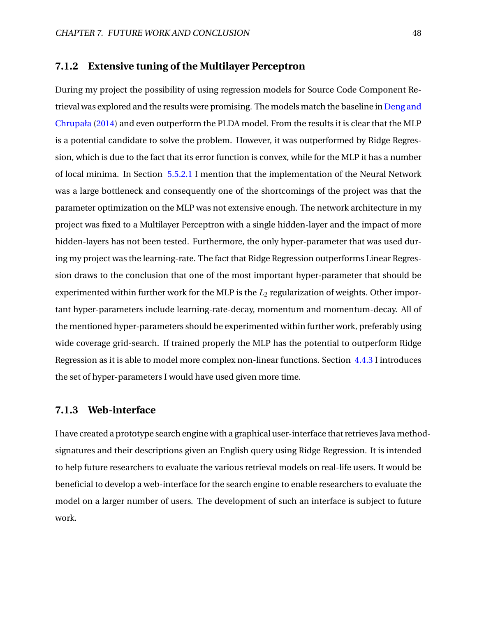#### **7.1.2 Extensive tuning of the Multilayer Perceptron**

During my project the possibility of using regression models for Source Code Component Re-trieval was explored and the results were promising. The models match the baseline in [Deng and](#page-57-0) [Chrupała](#page-57-0) [\(2014\)](#page-57-0) and even outperform the PLDA model. From the results it is clear that the MLP is a potential candidate to solve the problem. However, it was outperformed by Ridge Regression, which is due to the fact that its error function is convex, while for the MLP it has a number of local minima. In Section [5.5.2.1](#page-43-3) I mention that the implementation of the Neural Network was a large bottleneck and consequently one of the shortcomings of the project was that the parameter optimization on the MLP was not extensive enough. The network architecture in my project was fixed to a Multilayer Perceptron with a single hidden-layer and the impact of more hidden-layers has not been tested. Furthermore, the only hyper-parameter that was used during my project was the learning-rate. The fact that Ridge Regression outperforms Linear Regression draws to the conclusion that one of the most important hyper-parameter that should be experimented within further work for the MLP is the  $L_2$  regularization of weights. Other important hyper-parameters include learning-rate-decay, momentum and momentum-decay. All of the mentioned hyper-parameters should be experimented within further work, preferably using wide coverage grid-search. If trained properly the MLP has the potential to outperform Ridge Regression as it is able to model more complex non-linear functions. Section [4.4.3](#page-35-0) I introduces the set of hyper-parameters I would have used given more time.

#### <span id="page-55-0"></span>**7.1.3 Web-interface**

<span id="page-55-1"></span>I have created a prototype search engine with a graphical user-interface that retrieves Java methodsignatures and their descriptions given an English query using Ridge Regression. It is intended to help future researchers to evaluate the various retrieval models on real-life users. It would be beneficial to develop a web-interface for the search engine to enable researchers to evaluate the model on a larger number of users. The development of such an interface is subject to future work.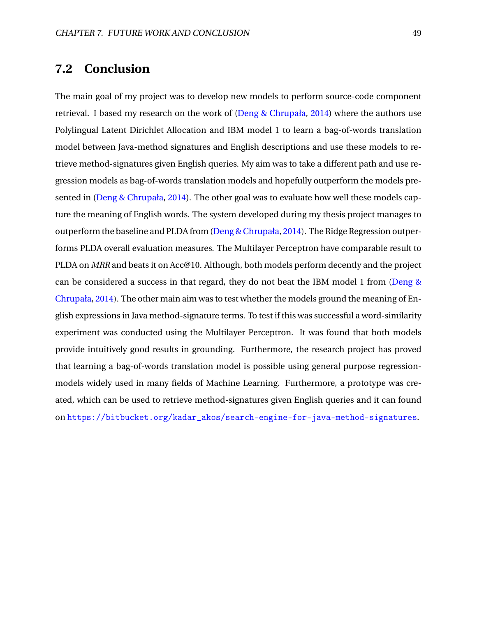## **7.2 Conclusion**

The main goal of my project was to develop new models to perform source-code component retrieval. I based my research on the work of [\(Deng & Chrupała,](#page-57-0) [2014\)](#page-57-0) where the authors use Polylingual Latent Dirichlet Allocation and IBM model 1 to learn a bag-of-words translation model between Java-method signatures and English descriptions and use these models to retrieve method-signatures given English queries. My aim was to take a different path and use regression models as bag-of-words translation models and hopefully outperform the models presented in [\(Deng & Chrupała,](#page-57-0) [2014\)](#page-57-0). The other goal was to evaluate how well these models capture the meaning of English words. The system developed during my thesis project manages to outperform the baseline and PLDA from [\(Deng & Chrupała,](#page-57-0) [2014\)](#page-57-0). The Ridge Regression outperforms PLDA overall evaluation measures. The Multilayer Perceptron have comparable result to PLDA on *MRR* and beats it on Acc@10. Although, both models perform decently and the project can be considered a success in that regard, they do not beat the IBM model 1 from [\(Deng &](#page-57-0) [Chrupała,](#page-57-0) [2014\)](#page-57-0). The other main aim was to test whether the models ground the meaning of English expressions in Java method-signature terms. To test if this was successful a word-similarity experiment was conducted using the Multilayer Perceptron. It was found that both models provide intuitively good results in grounding. Furthermore, the research project has proved that learning a bag-of-words translation model is possible using general purpose regressionmodels widely used in many fields of Machine Learning. Furthermore, a prototype was created, which can be used to retrieve method-signatures given English queries and it can found on [https://bitbucket.org/kadar\\_akos/search-engine-for-java-method-signatures](https://bitbucket.org/kadar_akos/search-engine-for-java-method-signatures).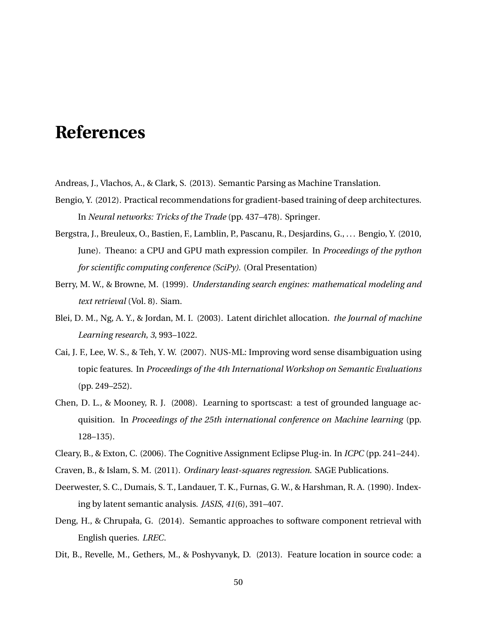## **References**

- <span id="page-57-10"></span><span id="page-57-5"></span>Andreas, J., Vlachos, A., & Clark, S. (2013). Semantic Parsing as Machine Translation.
- Bengio, Y. (2012). Practical recommendations for gradient-based training of deep architectures. In *Neural networks: Tricks of the Trade* (pp. 437–478). Springer.
- <span id="page-57-11"></span>Bergstra, J., Breuleux, O., Bastien, F., Lamblin, P., Pascanu, R., Desjardins, G., . . . Bengio, Y. (2010, June). Theano: a CPU and GPU math expression compiler. In *Proceedings of the python for scientific computing conference (SciPy).* (Oral Presentation)
- <span id="page-57-1"></span>Berry, M. W., & Browne, M. (1999). *Understanding search engines: mathematical modeling and text retrieval* (Vol. 8). Siam.
- <span id="page-57-3"></span>Blei, D. M., Ng, A. Y., & Jordan, M. I. (2003). Latent dirichlet allocation. *the Journal of machine Learning research*, *3*, 993–1022.
- <span id="page-57-4"></span>Cai, J. F., Lee, W. S., & Teh, Y. W. (2007). NUS-ML: Improving word sense disambiguation using topic features. In *Proceedings of the 4th International Workshop on Semantic Evaluations* (pp. 249–252).
- <span id="page-57-6"></span>Chen, D. L., & Mooney, R. J. (2008). Learning to sportscast: a test of grounded language acquisition. In *Proceedings of the 25th international conference on Machine learning* (pp. 128–135).
- <span id="page-57-9"></span><span id="page-57-8"></span>Cleary, B., & Exton, C. (2006). The Cognitive Assignment Eclipse Plug-in. In *ICPC* (pp. 241–244).
- <span id="page-57-2"></span>Craven, B., & Islam, S. M. (2011). *Ordinary least-squares regression*. SAGE Publications.
- Deerwester, S. C., Dumais, S. T., Landauer, T. K., Furnas, G. W., & Harshman, R. A. (1990). Indexing by latent semantic analysis. *JASIS*, *41*(6), 391–407.
- <span id="page-57-0"></span>Deng, H., & Chrupała, G. (2014). Semantic approaches to software component retrieval with English queries. *LREC*.
- <span id="page-57-7"></span>Dit, B., Revelle, M., Gethers, M., & Poshyvanyk, D. (2013). Feature location in source code: a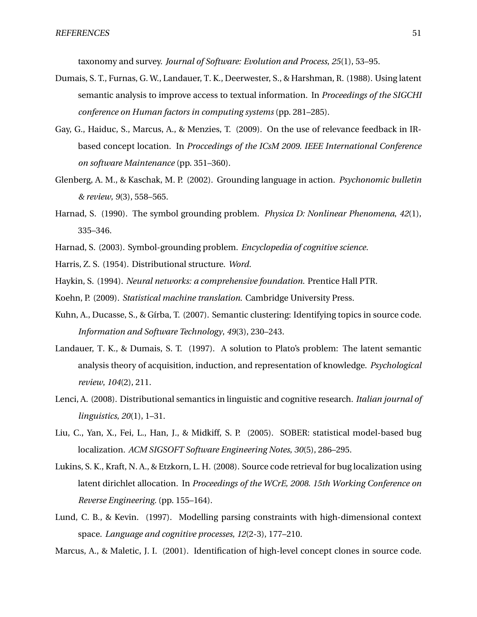taxonomy and survey. *Journal of Software: Evolution and Process*, *25*(1), 53–95.

- <span id="page-58-4"></span>Dumais, S. T., Furnas, G. W., Landauer, T. K., Deerwester, S., & Harshman, R. (1988). Using latent semantic analysis to improve access to textual information. In *Proceedings of the SIGCHI conference on Human factors in computing systems* (pp. 281–285).
- <span id="page-58-11"></span>Gay, G., Haiduc, S., Marcus, A., & Menzies, T. (2009). On the use of relevance feedback in IRbased concept location. In *Proccedings of the ICsM 2009. IEEE International Conference on software Maintenance* (pp. 351–360).
- <span id="page-58-2"></span>Glenberg, A. M., & Kaschak, M. P. (2002). Grounding language in action. *Psychonomic bulletin & review*, *9*(3), 558–565.
- <span id="page-58-7"></span>Harnad, S. (1990). The symbol grounding problem. *Physica D: Nonlinear Phenomena*, *42*(1), 335–346.
- <span id="page-58-6"></span><span id="page-58-1"></span>Harnad, S. (2003). Symbol-grounding problem. *Encyclopedia of cognitive science*.
- <span id="page-58-14"></span>Harris, Z. S. (1954). Distributional structure. *Word*.
- <span id="page-58-13"></span>Haykin, S. (1994). *Neural networks: a comprehensive foundation*. Prentice Hall PTR.
- <span id="page-58-8"></span>Koehn, P. (2009). *Statistical machine translation*. Cambridge University Press.
- Kuhn, A., Ducasse, S., & Gírba, T. (2007). Semantic clustering: Identifying topics in source code. *Information and Software Technology*, *49*(3), 230–243.
- <span id="page-58-5"></span>Landauer, T. K., & Dumais, S. T. (1997). A solution to Plato's problem: The latent semantic analysis theory of acquisition, induction, and representation of knowledge. *Psychological review*, *104*(2), 211.
- <span id="page-58-0"></span>Lenci, A. (2008). Distributional semantics in linguistic and cognitive research. *Italian journal of linguistics*, *20*(1), 1–31.
- <span id="page-58-9"></span>Liu, C., Yan, X., Fei, L., Han, J., & Midkiff, S. P. (2005). SOBER: statistical model-based bug localization. *ACM SIGSOFT Software Engineering Notes*, *30*(5), 286–295.
- <span id="page-58-10"></span>Lukins, S. K., Kraft, N. A., & Etzkorn, L. H. (2008). Source code retrieval for bug localization using latent dirichlet allocation. In *Proceedings of the WCrE, 2008. 15th Working Conference on Reverse Engineering.* (pp. 155–164).
- <span id="page-58-3"></span>Lund, C. B., & Kevin. (1997). Modelling parsing constraints with high-dimensional context space. *Language and cognitive processes*, *12*(2-3), 177–210.
- <span id="page-58-12"></span>Marcus, A., & Maletic, J. I. (2001). Identification of high-level concept clones in source code.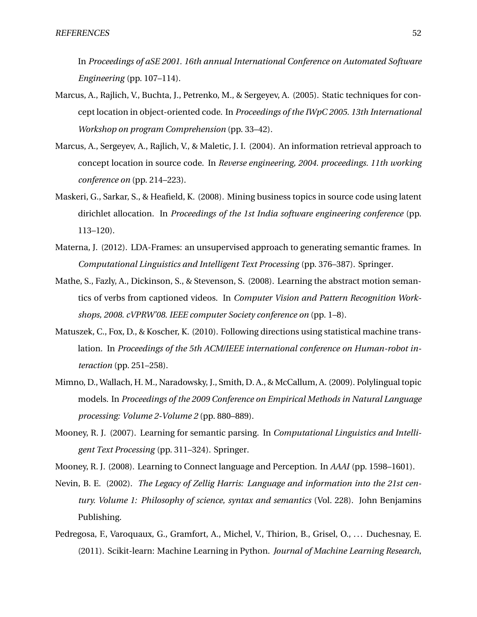In *Proceedings of aSE 2001. 16th annual International Conference on Automated Software Engineering* (pp. 107–114).

- <span id="page-59-6"></span>Marcus, A., Rajlich, V., Buchta, J., Petrenko, M., & Sergeyev, A. (2005). Static techniques for concept location in object-oriented code. In *Proceedings of the IWpC 2005. 13th International Workshop on program Comprehension* (pp. 33–42).
- <span id="page-59-7"></span>Marcus, A., Sergeyev, A., Rajlich, V., & Maletic, J. I. (2004). An information retrieval approach to concept location in source code. In *Reverse engineering, 2004. proceedings. 11th working conference on* (pp. 214–223).
- <span id="page-59-8"></span>Maskeri, G., Sarkar, S., & Heafield, K. (2008). Mining business topics in source code using latent dirichlet allocation. In *Proceedings of the 1st India software engineering conference* (pp. 113–120).
- <span id="page-59-2"></span>Materna, J. (2012). LDA-Frames: an unsupervised approach to generating semantic frames. In *Computational Linguistics and Intelligent Text Processing* (pp. 376–387). Springer.
- <span id="page-59-1"></span>Mathe, S., Fazly, A., Dickinson, S., & Stevenson, S. (2008). Learning the abstract motion semantics of verbs from captioned videos. In *Computer Vision and Pattern Recognition Workshops, 2008. cVPRW'08. IEEE computer Society conference on* (pp. 1–8).
- <span id="page-59-5"></span>Matuszek, C., Fox, D., & Koscher, K. (2010). Following directions using statistical machine translation. In *Proceedings of the 5th ACM/IEEE international conference on Human-robot interaction* (pp. 251–258).
- <span id="page-59-9"></span>Mimno, D., Wallach, H. M., Naradowsky, J., Smith, D. A., & McCallum, A. (2009). Polylingual topic models. In *Proceedings of the 2009 Conference on Empirical Methods in Natural Language processing: Volume 2-Volume 2* (pp. 880–889).
- <span id="page-59-3"></span>Mooney, R. J. (2007). Learning for semantic parsing. In *Computational Linguistics and Intelligent Text Processing* (pp. 311–324). Springer.
- <span id="page-59-4"></span><span id="page-59-0"></span>Mooney, R. J. (2008). Learning to Connect language and Perception. In *AAAI* (pp. 1598–1601).
- Nevin, B. E. (2002). *The Legacy of Zellig Harris: Language and information into the 21st century. Volume 1: Philosophy of science, syntax and semantics* (Vol. 228). John Benjamins Publishing.
- <span id="page-59-10"></span>Pedregosa, F., Varoquaux, G., Gramfort, A., Michel, V., Thirion, B., Grisel, O., ... Duchesnay, E. (2011). Scikit-learn: Machine Learning in Python. *Journal of Machine Learning Research*,